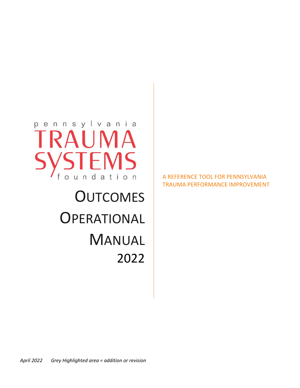

# **OUTCOMES OPERATIONAL** MANUAL 2022

## A REFERENCE TOOL FOR PENNSYLVANIA TRAUMA PERFORMANCE IMPROVEMENT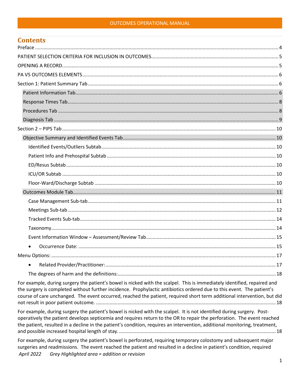#### **OUTCOMES OPERATIONAL MANUAL**

| Contents  |  |
|-----------|--|
|           |  |
|           |  |
|           |  |
|           |  |
|           |  |
|           |  |
|           |  |
|           |  |
|           |  |
|           |  |
|           |  |
|           |  |
|           |  |
|           |  |
|           |  |
|           |  |
|           |  |
|           |  |
|           |  |
|           |  |
|           |  |
|           |  |
| $\bullet$ |  |
|           |  |
| $\bullet$ |  |
|           |  |

For example, during surgery the patient's bowel is nicked with the scalpel. This is immediately identified, repaired and the surgery is completed without further incidence. Prophylactic antibiotics ordered due to this event. The patient's course of care unchanged. The event occurred, reached the patient, required short term additional intervention, but did 

For example, during surgery the patient's bowel is nicked with the scalpel. It is not identified during surgery. Postoperatively the patient develops septicemia and requires return to the OR to repair the perforation. The event reached the patient, resulted in a decline in the patient's condition, requires an intervention, additional monitoring, treatment, 

For example, during surgery the patient's bowel is perforated, requiring temporary colostomy and subsequent major surgeries and readmissions. The event reached the patient and resulted in a decline in patient's condition, required **April 2022** Grey Highlighted area = addition or revision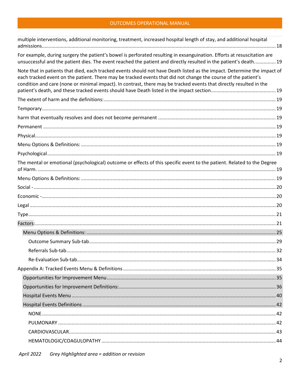## OUTCOMES OPERATIONAL MANUAL

| multiple interventions, additional monitoring, treatment, increased hospital length of stay, and additional hospital                                                                                                                                                                                                                                              |  |
|-------------------------------------------------------------------------------------------------------------------------------------------------------------------------------------------------------------------------------------------------------------------------------------------------------------------------------------------------------------------|--|
| For example, during surgery the patient's bowel is perforated resulting in exsanguination. Efforts at resuscitation are<br>unsuccessful and the patient dies. The event reached the patient and directly resulted in the patient's death 19                                                                                                                       |  |
| Note that in patients that died, each tracked events should not have Death listed as the impact. Determine the impact of<br>each tracked event on the patient. There may be tracked events that did not change the course of the patient's<br>condition and care (none or minimal impact). In contrast, there may be tracked events that directly resulted in the |  |
|                                                                                                                                                                                                                                                                                                                                                                   |  |
|                                                                                                                                                                                                                                                                                                                                                                   |  |
|                                                                                                                                                                                                                                                                                                                                                                   |  |
|                                                                                                                                                                                                                                                                                                                                                                   |  |
|                                                                                                                                                                                                                                                                                                                                                                   |  |
|                                                                                                                                                                                                                                                                                                                                                                   |  |
|                                                                                                                                                                                                                                                                                                                                                                   |  |
| The mental or emotional (psychological) outcome or effects of this specific event to the patient. Related to the Degree                                                                                                                                                                                                                                           |  |
|                                                                                                                                                                                                                                                                                                                                                                   |  |
|                                                                                                                                                                                                                                                                                                                                                                   |  |
|                                                                                                                                                                                                                                                                                                                                                                   |  |
|                                                                                                                                                                                                                                                                                                                                                                   |  |
|                                                                                                                                                                                                                                                                                                                                                                   |  |
|                                                                                                                                                                                                                                                                                                                                                                   |  |
|                                                                                                                                                                                                                                                                                                                                                                   |  |
|                                                                                                                                                                                                                                                                                                                                                                   |  |
|                                                                                                                                                                                                                                                                                                                                                                   |  |
|                                                                                                                                                                                                                                                                                                                                                                   |  |
|                                                                                                                                                                                                                                                                                                                                                                   |  |
|                                                                                                                                                                                                                                                                                                                                                                   |  |
|                                                                                                                                                                                                                                                                                                                                                                   |  |
|                                                                                                                                                                                                                                                                                                                                                                   |  |
|                                                                                                                                                                                                                                                                                                                                                                   |  |
|                                                                                                                                                                                                                                                                                                                                                                   |  |
|                                                                                                                                                                                                                                                                                                                                                                   |  |
|                                                                                                                                                                                                                                                                                                                                                                   |  |
|                                                                                                                                                                                                                                                                                                                                                                   |  |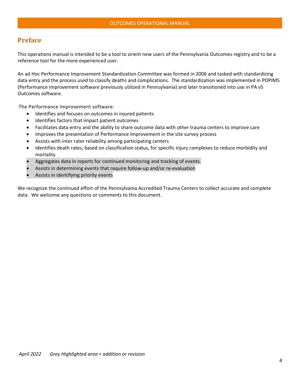## <span id="page-4-0"></span>**Preface**

This operations manual is intended to be a tool to orient new users of the Pennsylvania Outcomes registry and to be a reference tool for the more experienced user.

An ad Hoc Performance Improvement Standardization Committee was formed in 2006 and tasked with standardizing data entry and the process used to classify deaths and complications. The standardization was implemented in POPIMS (Performance Improvement software previously utilized in Pennsylvania) and later transitioned into use in PA v5 Outcomes software.

The Performance Improvement software:

- Identifies and focuses on outcomes in injured patients
- Identifies factors that impact patient outcomes
- Facilitates data entry and the ability to share outcome data with other trauma centers to improve care
- Improves the presentation of Performance Improvement in the site survey process
- Assists with inter rater reliability among participating centers
- Identifies death rates, based on classification status, for specific injury complexes to reduce morbidity and mortality
- Aggregates data in reports for continued monitoring and tracking of events.
- Assists in determining events that require follow-up and/or re-evaluation
- Assists in identifying priority events

We recognize the continued effort of the Pennsylvania Accredited Trauma Centers to collect accurate and complete data. We welcome any questions or comments to this document.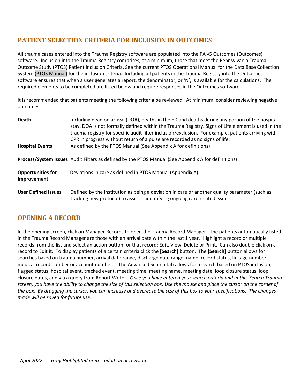# <span id="page-5-0"></span>**PATIENT SELECTION CRITERIA FOR INCLUSION IN OUTCOMES**

All trauma cases entered into the Trauma Registry software are populated into the PA v5 Outcomes (Outcomes) software. Inclusion into the Trauma Registry comprises, at a minimum, those that meet the Pennsylvania Trauma Outcome Study (PTOS) Patient Inclusion Criteria. See the current PTOS Operational Manual for the Data Base Collection System (PTOS Manual) for the inclusion criteria. Including all patients in the Trauma Registry into the Outcomes software ensures that when a user generates a report, the denominator, or 'N', is available for the calculations. The required elements to be completed are listed below and require responses in the Outcomes software.

It is recommended that patients meeting the following criteria be reviewed. At minimum, consider reviewing negative outcomes.

| <b>Death</b>                            | Including dead on arrival (DOA), deaths in the ED and deaths during any portion of the hospital<br>stay. DOA is not formally defined within the Trauma Registry. Signs of Life element is used in the<br>trauma registry for specific audit filter inclusion/exclusion. For example, patients arriving with<br>CPR in progress without return of a pulse are recorded as no signs of life. |
|-----------------------------------------|--------------------------------------------------------------------------------------------------------------------------------------------------------------------------------------------------------------------------------------------------------------------------------------------------------------------------------------------------------------------------------------------|
| <b>Hospital Events</b>                  | As defined by the PTOS Manual (See Appendix A for definitions)                                                                                                                                                                                                                                                                                                                             |
|                                         | Process/System Issues Audit Filters as defined by the PTOS Manual (See Appendix A for definitions)                                                                                                                                                                                                                                                                                         |
| <b>Opportunities for</b><br>Improvement | Deviations in care as defined in PTOS Manual (Appendix A)                                                                                                                                                                                                                                                                                                                                  |
| <b>User Defined Issues</b>              | Defined by the institution as being a deviation in care or another quality parameter (such as<br>tracking new protocol) to assist in identifying ongoing care related issues                                                                                                                                                                                                               |

# <span id="page-5-1"></span>**OPENING A RECORD**

In the opening screen, click on Manager Records to open the Trauma Record Manager. The patients automatically listed in the Trauma Record Manager are those with an arrival date within the last 1 year. Highlight a record or multiple records from the list and select an action button for that record: Edit, View, Delete or Print. Can also double click on a record to Edit it. To display patients of a certain criteria click the **[Search]** button. The **[Search]** button allows for searches based on trauma number, arrival date range, discharge date range, name, record status, linkage number, medical record number or account number. The Advanced Search tab allows for a search based on PTOS inclusion, flagged status, hospital event, tracked event, meeting time, meeting name, meeting date, loop closure status, loop closure dates, and via a query from Report Writer. *Once you have entered your search criteria and in the 'Search Trauma screen, you have the ability to change the size of this selection box. Use the mouse and place the cursor on the corner of the box. By dragging the cursor, you can increase and decrease the size of this box to your specifications. The changes made will be saved for future use.*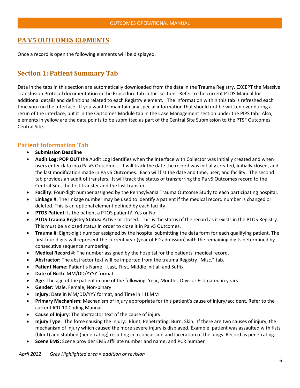## <span id="page-6-0"></span>**PA V5 OUTCOMES ELEMENTS**

<span id="page-6-1"></span>Once a record is open the following elements will be displayed.

# **Section 1: Patient Summary Tab**

Data in the tabs in this section are automatically downloaded from the data in the Trauma Registry, EXCEPT the Massive Transfusion Protocol documentation in the Procedure tab in this section. Refer to the current PTOS Manual for additional details and definitions related to each Registry element. The information within this tab is refreshed each time you run the Interface. If you want to maintain any special information that should not be written over during a rerun of the interface, put it in the Outcomes Module tab in the Case Management section under the PIPS tab. Also, elements in yellow are the data points to be submitted as part of the Central Site Submission to the PTSF Outcomes Central Site.

## <span id="page-6-2"></span>**Patient Information Tab**

- **Submission Deadline**
- **Audit Log: POP OUT** the Audit Log identifies when the interface with Collector was initially created and when users enter data into Pa v5 Outcomes. It will track the date the record was initially created, initially closed, and the last modification made in Pa v5 Outcomes. Each will list the date and time, user, and facility. The second tab provides an audit of transfers. It will track the status of transferring the Pa v5 Outcomes record to the Central Site, the first transfer and the last transfer.
- **Facility**: Four-digit number assigned by the Pennsylvania Trauma Outcome Study to each participating hospital.
- **Linkage #:** The linkage number may be used to identify a patient if the medical record number is changed or deleted. This is an optional element defined by each facility.
- **PTOS Patient**: Is the patient a PTOS patient? Yes or No
- **PTOS Trauma Registry Status:** Active or Closed. This is the status of the record as it exists in the PTOS Registry. This must be a closed status in order to close it in Pa v5 Outcomes.
- **Trauma #**: Eight-digit number assigned by the hospital submitting the data form for each qualifying patient. The first four digits will represent the current year (year of ED admission) with the remaining digits determined by consecutive sequence numbering.
- **Medical Record #**: The number assigned by the hospital for the patients' medical record.
- **Abstractor:** The abstractor text will be imported from the trauma Registry "Misc." tab.
- Patient Name: Patient's Name Last, First, Middle initial, and Suffix
- **Date of Birth**: MM/DD/YYYY format
- **Age**: The age of the patient in one of the following: Year, Months, Days or Estimated in years
- **Gender**: Male, Female, Non-binary
- **Injury:** Date in MM/DD/YYY format, and Time in HH:MM
- **Primary Mechanism:** Mechanism of Injury appropriate for this patient's cause of injury/accident. Refer to the current ICD-10 Coding Manual.
- **Cause of Injury**: The abstractor text of the cause of injury.
- **Injury Type**: The force causing the injury: Blunt, Penetrating, Burn, Skin. If there are two causes of injury, the mechanism of injury which caused the more severe injury is displayed. Example: patient was assaulted with fists (blunt) and stabbed (penetrating) resulting in a concussion and laceration of the lungs. Record as penetrating.
- **Scene EMS:** Scene provider EMS affiliate number and name, and PCR number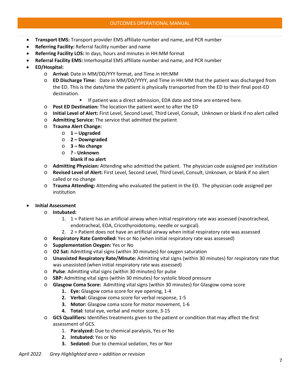- **Transport EMS:** Transport provider EMS affiliate number and name, and PCR number
- **Referring Facility:** Referral facility number and name
- **Referring Facility LOS:** In days, hours and minutes in HH:MM format
- **Referral Facility EMS:** Interhospital EMS affiliate number and name, and PCR number
- **ED/Hospital:** 
	- o **Arrival:** Date in MM/DD/YYY format, and Time in HH:MM
	- o **ED Discharge Time:** Date in MM/DD/YYYY, and Time in HH:MM that the patient was discharged from the ED. This is the date/time the patient is physically transported from the ED to their final post-ED destination.
		- If patient was a direct admission, EDA date and time are entered here.
	- o **Post ED Destination:** The location the patient went to after the ED
	- o **Initial Level of Alert:** First Level, Second Level, Third Level, Consult, Unknown or blank if no alert called
	- o **Admitting Service:** The service that admitted the patient
	- o **Trauma Alert Change:**
		- o **1 Upgraded**
		- o **2 Downgraded**
		- o **3 No change**
		- o **? Unknown**
		- **blank if no alert**
	- o **Admitting Physician:** Attending who admitted the patient. The physician code assigned per institution
	- o **Revised Level of Alert:** First Level, Second Level, Third Level, Consult, Unknown, or blank if no alert called or no change
	- o **Trauma Attending:** Attending who evaluated the patient in the ED. The physician code assigned per institution

#### • **Initial Assessment**

- o **Intubated:** 
	- 1. 1 = Patient has an artificial airway when initial respiratory rate was assessed (nasotracheal, endotracheal, EOA, Cricothyroidotomy, needle or surgical).
	- 2. 2 = Patient does not have an artificial airway when initial respiratory rate was assessed
- o **Respiratory Rate Controlled:** Yes or No (when initial respiratory rate was assessed)
- o **Supplementation Oxygen:** Yes or No
- o **O2 Sat:** Admitting vital signs (within 30 minutes) for oxygen saturation
- o **Unassisted Respiratory Rate/Minute:** Admitting vital signs (within 30 minutes) for respiratory rate that was unassisted (when initial respiratory rate was assessed)
- o **Pulse**: Admitting vital signs (within 30 minutes) for pulse
- o **SBP:** Admitting vital signs (within 30 minutes) for systolic blood pressure
- o **Glasgow Coma Score:** Admitting vital signs (within 30 minutes) for Glasgow coma score
	- **1. Eye:** Glasgow coma score for eye opening, 1-4
	- **2. Verbal:** Glasgow coma score for verbal response, 1-5
	- **3. Motor:** Glasgow coma score for motor movement, 1-6
	- **4. Total:** total eye, verbal and motor score, 3-15
- o **GCS Qualifiers:** Identifies treatments given to the patient or condition that may affect the first assessment of GCS.
	- 1. **Paralyzed:** Due to chemical paralysis, Yes or No
	- **2. Intubated:** Yes or No
	- **3. Sedated:** Due to chemical sedation, Yes or Nor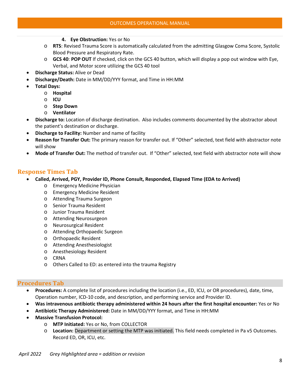- **4. Eye Obstruction:** Yes or No
- o **RTS**: Revised Trauma Score is automatically calculated from the admitting Glasgow Coma Score, Systolic Blood Pressure and Respiratory Rate.
- o **GCS 40**: **POP OUT** If checked, click on the GCS 40 button, which will display a pop out window with Eye, Verbal, and Motor score utilizing the GCS 40 tool
- **Discharge Status:** Alive or Dead
	- **Discharge/Death:** Date in MM/DD/YYY format, and Time in HH:MM
- **Total Days:** 
	- o **Hospital**
	- o **ICU**
	- o **Step Down**
	- o **Ventilator**
- **Discharge to:** Location of discharge destination.Also includes comments documented by the abstractor about the patient's destination or discharge.
- **Discharge to Facility:** Number and name of facility
- **Reason for Transfer Out:** The primary reason for transfer out. If "Other" selected, text field with abstractor note will show
- **Mode of Transfer Out:** The method of transfer out. If "Other" selected, text field with abstractor note will show

## <span id="page-8-0"></span>**Response Times Tab**

- **Called, Arrived, PGY, Provider ID, Phone Consult, Responded, Elapsed Time (EDA to Arrived)**
	- o Emergency Medicine Physician
	- o Emergency Medicine Resident
	- o Attending Trauma Surgeon
	- o Senior Trauma Resident
	- o Junior Trauma Resident
	- o Attending Neurosurgeon
	- o Neurosurgical Resident
	- o Attending Orthopaedic Surgeon
	- o Orthopaedic Resident
	- o Attending Anesthesiologist
	- o Anesthesiology Resident
	- o CRNA
	- o Others Called to ED: as entered into the trauma Registry

#### <span id="page-8-1"></span>**Procedures Tab**

- **Procedures:** A complete list of procedures including the location (i.e., ED, ICU, or OR procedures), date, time, Operation number, ICD-10 code, and description, and performing service and Provider ID.
- **Was intravenous antibiotic therapy administered within 24 hours after the first hospital encounter:** Yes or No
- **Antibiotic Therapy Administered:** Date in MM/DD/YYY format, and Time in HH:MM
- **Massive Transfusion Protocol:** 
	- o **MTP Initiated:** Yes or No, from COLLECTOR
	- o **Location:** Department or setting the MTP was initiated. This field needs completed in Pa v5 Outcomes. Record ED, OR, ICU, etc.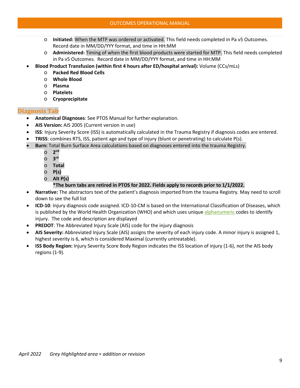#### OUTCOMES OPERATIONAL MANUAL

- o **Initiated:** When the MTP was ordered or activated. This field needs completed in Pa v5 Outcomes. Record date in MM/DD/YYY format, and time in HH:MM
- o **Administered:** Timing of when the first blood products were started for MTP. This field needs completed in Pa v5 Outcomes. Record date in MM/DD/YYY format, and time in HH:MM
- **Blood Product Transfusion (within first 4 hours after ED/hospital arrival):** Volume (CCs/mLs)
	- o **Packed Red Blood Cells**
	- o **Whole Blood**
	- o **Plasma**
	- o **Platelets**
	- o **Cryoprecipitate**

## <span id="page-9-0"></span>**Diagnosis Tab**

- **Anatomical Diagnoses**: See PTOS Manual for further explanation.
- **AIS Version:** AIS 2005 (Current version in use)
- **ISS**: Injury Severity Score (ISS) is automatically calculated in the Trauma Registry if diagnosis codes are entered.
- **TRISS**: combines RTS, ISS, patient age and type of injury (blunt or penetrating) to calculate P(s).
- **Burn:** Total Burn Surface Area calculations based on diagnoses entered into the trauma Registry.
	- o **2nd**
	- o **3rd**
	- o **Total**
	- o **P(s)**
	- o **Alt P(s)** 
		- **\*The burn tabs are retired in PTOS for 2022. Fields apply to records prior to 1/1/2022.**
- **Narrative:** The abstractors text of the patient's diagnosis imported from the trauma Registry. May need to scroll down to see the full list
- **ICD-10**: Injury diagnosis code assigned. ICD-10-CM is based on the International Classification of Diseases, which is published by the World Health Organization (WHO) and which uses unique [alphanumeric](https://whatis.techtarget.com/definition/alphanumeric-alphameric) codes to identify injury. The code and description are displayed
- **PREDOT:** The Abbreviated Injury Scale (AIS) code for the injury diagnosis
- **AIS Severity:** Abbreviated Injury Scale (AIS) assigns the severity of each injury code. A minor injury is assigned 1, highest severity is 6, which is considered Maximal (currently untreatable).
- **ISS Body Region:** Injury Severity Score Body Region indicates the ISS location of injury (1-6), not the AIS body regions (1-9).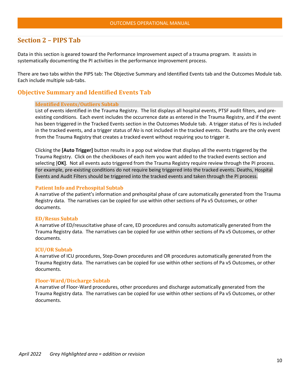## <span id="page-10-0"></span>**Section 2 – PIPS Tab**

Data in this section is geared toward the Performance Improvement aspect of a trauma program. It assists in systematically documenting the PI activities in the performance improvement process.

There are two tabs within the PIPS tab: The Objective Summary and Identified Events tab and the Outcomes Module tab. Each include multiple sub-tabs.

## <span id="page-10-2"></span><span id="page-10-1"></span>**Objective Summary and Identified Events Tab**

#### **Identified Events/Outliers Subtab**

List of events identified in the Trauma Registry. The list displays all hospital events, PTSF audit filters, and preexisting conditions. Each event includes the occurrence date as entered in the Trauma Registry, and if the event has been triggered in the Tracked Events section in the Outcomes Module tab. A trigger status of *Yes* is included in the tracked events, and a trigger status of *No* is not included in the tracked events. Deaths are the only event from the Trauma Registry that creates a tracked event without requiring you to trigger it.

Clicking the **[Auto Trigger]** button results in a pop out window that displays all the events triggered by the Trauma Registry. Click on the checkboxes of each item you want added to the tracked events section and selecting [**OK]**. Not all events auto triggered from the Trauma Registry require review through the PI process. For example, pre-existing conditions do not require being triggered into the tracked events. Deaths, Hospital Events and Audit Filters should be triggered into the tracked events and taken through the PI process.

#### <span id="page-10-3"></span>**Patient Info and Prehospital Subtab**

A narrative of the patient's information and prehospital phase of care automatically generated from the Trauma Registry data. The narratives can be copied for use within other sections of Pa v5 Outcomes, or other documents.

#### <span id="page-10-4"></span>**ED/Resus Subtab**

A narrative of ED/resuscitative phase of care, ED procedures and consults automatically generated from the Trauma Registry data. The narratives can be copied for use within other sections of Pa v5 Outcomes, or other documents.

#### <span id="page-10-5"></span>**ICU/OR Subtab**

A narrative of ICU procedures, Step-Down procedures and OR procedures automatically generated from the Trauma Registry data. The narratives can be copied for use within other sections of Pa v5 Outcomes, or other documents.

#### <span id="page-10-6"></span>**Floor-Ward/Discharge Subtab**

A narrative of Floor-Ward procedures, other procedures and discharge automatically generated from the Trauma Registry data. The narratives can be copied for use within other sections of Pa v5 Outcomes, or other documents.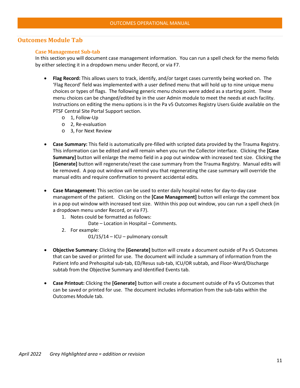## <span id="page-11-1"></span><span id="page-11-0"></span>**Outcomes Module Tab**

#### **Case Management Sub-tab**

In this section you will document case management information. You can run a spell check for the memo fields by either selecting it in a dropdown menu under Record, or via F7.

- **Flag Record:** This allows users to track, identify, and/or target cases currently being worked on. The 'Flag Record' field was implemented with a user defined menu that will hold up to nine unique menu choices or types of flags. The following generic menu choices were added as a starting point. These menu choices can be changed/edited by in the user Admin module to meet the needs at each facility. Instructions on editing the menu options is in the Pa v5 Outcomes Registry Users Guide available on the PTSF Central Site Portal Support section.
	- o 1, Follow-Up
	- o 2, Re-evaluation
	- o 3, For Next Review
- **Case Summary:** This field is automatically pre-filled with scripted data provided by the Trauma Registry. This information can be edited and will remain when you run the Collector interface. Clicking the **[Case Summary]** button will enlarge the memo field in a pop out window with increased text size. Clicking the **[Generate]** button will regenerate/reset the case summary from the Trauma Registry. Manual edits will be removed. A pop out window will remind you that regenerating the case summary will override the manual edits and require confirmation to prevent accidental edits.
- **Case Management:** This section can be used to enter daily hospital notes for day-to-day case management of the patient. Clicking on the **[Case Management]** button will enlarge the comment box in a pop out window with increased text size. Within this pop out window, you can run a spell check (in a dropdown menu under Record, or via F7).
	- 1. Notes could be formatted as follows:
		- Date Location in Hospital Comments.
	- 2. For example:

01/15/14 – ICU – pulmonary consult

- **Objective Summary:** Clicking the **[Generate]** button will create a document outside of Pa v5 Outcomes that can be saved or printed for use. The document will include a summary of information from the Patient Info and Prehospital sub-tab, ED/Resus sub-tab, ICU/OR subtab, and Floor-Ward/Discharge subtab from the Objective Summary and Identified Events tab.
- **Case Printout:** Clicking the **[Generate]** button will create a document outside of Pa v5 Outcomes that can be saved or printed for use. The document includes information from the sub-tabs within the Outcomes Module tab.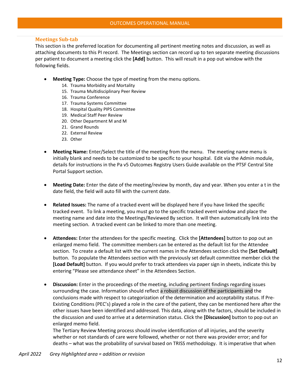#### <span id="page-12-0"></span>**Meetings Sub-tab**

This section is the preferred location for documenting all pertinent meeting notes and discussion, as well as attaching documents to this PI record. The Meetings section can record up to ten separate meeting discussions per patient to document a meeting click the **[Add]** button. This will result in a pop out window with the following fields.

- **Meeting Type:** Choose the type of meeting from the menu options.
	- 14. Trauma Morbidity and Mortality
	- 15. Trauma Multidisciplinary Peer Review
	- 16. Trauma Conference
	- 17. Trauma Systems Committee
	- 18. Hospital Quality PIPS Committee
	- 19. Medical Staff Peer Review
	- 20. Other Department M and M
	- 21. Grand Rounds
	- 22. External Review
	- 23. Other
- **Meeting Name:** Enter/Select the title of the meeting from the menu. The meeting name menu is initially blank and needs to be customized to be specific to your hospital. Edit via the Admin module, details for instructions in the Pa v5 Outcomes Registry Users Guide available on the PTSF Central Site Portal Support section.
- **Meeting Date:** Enter the date of the meeting/review by month, day and year. When you enter a t in the date field, the field will auto fill with the current date.
- **Related Issues:** The name of a tracked event will be displayed here if you have linked the specific tracked event. To link a meeting, you must go to the specific tracked event window and place the meeting name and date into the Meetings/Reviewed By section. It will then automatically link into the meeting section. A tracked event can be linked to more than one meeting.
- **Attendees:** Enter the attendees for the specific meeting. Click the **[Attendees]** button to pop out an enlarged memo field. The committee members can be entered as the default list for the Attendee section. To create a default list with the current names in the Attendees section click the **[Set Default]** button. To populate the Attendees section with the previously set default committee member click the **[Load Default]** button. If you would prefer to track attendees via paper sign in sheets, indicate this by entering "Please see attendance sheet" in the Attendees Section.
- **Discussion:** Enter in the proceedings of the meeting, including pertinent findings regarding issues surrounding the case. Information should reflect a robust discussion of the participants and the conclusions made with respect to categorization of the determination and acceptability status. If Pre-Existing Conditions (PEC's) played a role in the care of the patient, they can be mentioned here after the other issues have been identified and addressed. This data, along with the factors, should be included in the discussion and used to arrive at a determination status. Click the **[Discussion]** button to pop out an enlarged memo field.

The Tertiary Review Meeting process should involve identification of all injuries, and the severity whether or not standards of care were followed, whether or not there was provider error; and for deaths – what was the probability of survival based on TRISS methodology. It is imperative that when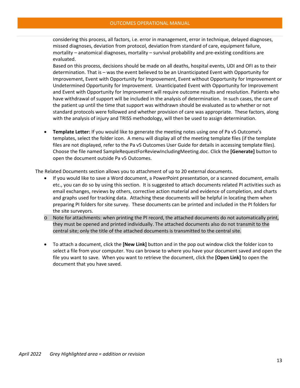considering this process, all factors, i.e. error in management, error in technique, delayed diagnoses, missed diagnoses, deviation from protocol, deviation from standard of care, equipment failure, mortality – anatomical diagnoses, mortality – survival probability and pre-existing conditions are evaluated.

Based on this process, decisions should be made on all deaths, hospital events, UDI and OFI as to their determination. That is – was the event believed to be an Unanticipated Event with Opportunity for Improvement, Event with Opportunity for Improvement, Event without Opportunity for Improvement or Undetermined Opportunity for Improvement. Unanticipated Event with Opportunity for Improvement and Event with Opportunity for Improvement will require outcome results and resolution. Patients who have withdrawal of support will be included in the analysis of determination. In such cases, the care of the patient up until the time that support was withdrawn should be evaluated as to whether or not standard protocols were followed and whether provision of care was appropriate. These factors, along with the analysis of injury and TRISS methodology, will then be used to assign determination.

• **Template Letter:** If you would like to generate the meeting notes using one of Pa v5 Outcome's templates, select the folder icon. A menu will display all of the meeting template files (if the template files are not displayed, refer to the Pa v5 Outcomes User Guide for details in accessing template files). Choose the file named SampleRequestForReviewIncludingMeeting.doc. Click the **[Generate]** button to open the document outside Pa v5 Outcomes.

The Related Documents section allows you to attachment of up to 20 external documents.

- If you would like to save a Word document, a PowerPoint presentation, or a scanned document, emails etc., you can do so by using this section. It is suggested to attach documents related PI activities such as email exchanges, reviews by others, corrective action material and evidence of completion, and charts and graphs used for tracking data. Attaching these documents will be helpful in locating them when preparing PI folders for site survey. These documents can be printed and included in the PI folders for the site surveyors.
- o Note for attachments: when printing the PI record, the attached documents do not automatically print, they must be opened and printed individually. The attached documents also do not transmit to the central site; only the title of the attached documents is transmitted to the central site.
- To attach a document, click the **[New Link]** button and in the pop out window click the folder icon to select a file from your computer. You can browse to where you have your document saved and open the file you want to save. When you want to retrieve the document, click the **[Open Link]** to open the document that you have saved.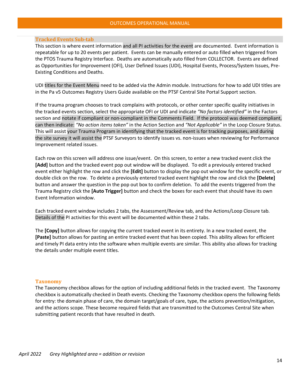#### <span id="page-14-0"></span>**Tracked Events Sub-tab**

This section is where event information and all PI activities for the event are documented. Event information is repeatable for up to 20 events per patient. Events can be manually entered or auto filled when triggered from the PTOS Trauma Registry Interface. Deaths are automatically auto filled from COLLECTOR. Events are defined as Opportunities for Improvement (OFI), User Defined Issues (UDI), Hospital Events, Process/System Issues, Pre-Existing Conditions and Deaths.

UDI titles for the Event Menu need to be added via the Admin module. Instructions for how to add UDI titles are in the Pa v5 Outcomes Registry Users Guide available on the PTSF Central Site Portal Support section.

If the trauma program chooses to track complains with protocols, or other center specific quality initiatives in the tracked events section, select the appropriate OFI or UDI and indicate *"No factors identified"* in the Factors section and notate if compliant or non-compliant in the Comments Field. If the protocol was deemed compliant, can then indicate: *"No action items taken"* in the Action Section and *"Not Applicable"* in the Loop Closure Status. This will assist your Trauma Program in identifying that the tracked event is for tracking purposes, and during the site survey it will assist the PTSF Surveyors to identify issues vs. non-issues when reviewing for Performance Improvement related issues.

Each row on this screen will address one issue/event. On this screen, to enter a new tracked event click the **[Add]** button and the tracked event pop out window will be displayed. To edit a previously entered tracked event either highlight the row and click the **[Edit]** button to display the pop out window for the specific event, or double click on the row. To delete a previously entered tracked event highlight the row and click the **[Delete]**  button and answer the question in the pop out box to confirm deletion. To add the events triggered from the Trauma Registry click the **[Auto Trigger]** button and check the boxes for each event that should have its own Event Information window.

Each tracked event window includes 2 tabs, the Assessment/Review tab, and the Actions/Loop Closure tab. Details of the PI activities for this event will be documented within these 2 tabs.

The **[Copy]** button allows for copying the current tracked event in its entirety. In a new tracked event, the **[Paste]** button allows for pasting an entire tracked event that has been copied. This ability allows for efficient and timely PI data entry into the software when multiple events are similar. This ability also allows for tracking the details under multiple event titles.

#### <span id="page-14-1"></span>**Taxonomy**

The Taxonomy checkbox allows for the option of including additional fields in the tracked event. The Taxonomy checkbox is automatically checked in Death events. Checking the Taxonomy checkbox opens the following fields for entry: the domain phase of care, the domain target/goals of care, type, the actions prevention/mitigation, and the actions scope. These become required fields that are transmitted to the Outcomes Central Site when submitting patient records that have resulted in death.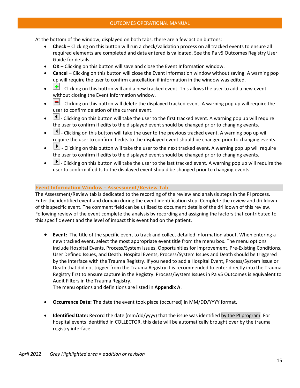At the bottom of the window, displayed on both tabs, there are a few action buttons:

- **Check** Clicking on this button will run a check/validation process on all tracked events to ensure all required elements are completed and data entered is validated. See the Pa v5 Outcomes Registry User Guide for details.
- **OK** Clicking on this button will save and close the Event Information window.
- **Cancel** Clicking on this button will close the Event Information window without saving. A warning pop up will require the user to confirm cancellation if information in the window was edited.
- **•** Clicking on this button will add a new tracked event. This allows the user to add a new event without closing the Event Information window.
- $\Box$  Clicking on this button will delete the displayed tracked event. A warning pop up will require the user to confirm deletion of the current event.
- $\Box$  Clicking on this button will take the user to the first tracked event. A warning pop up will require the user to confirm if edits to the displayed event should be changed prior to changing events.
- $\Box$  Clicking on this button will take the user to the previous tracked event. A warning pop up will require the user to confirm if edits to the displayed event should be changed prior to changing events.
- $\bullet$   $\Box$  Clicking on this button will take the user to the next tracked event. A warning pop up will require the user to confirm if edits to the displayed event should be changed prior to changing events.
- $\blacktriangleright$  Clicking on this button will take the user to the last tracked event. A warning pop up will require the user to confirm if edits to the displayed event should be changed prior to changing events.

#### <span id="page-15-0"></span>**Event Information Window – Assessment/Review Tab**

The Assessment/Review tab is dedicated to the recording of the review and analysis steps in the PI process. Enter the identified event and domain during the event identification step. Complete the review and drilldown of this specific event. The comment field can be utilized to document details of the drilldown of this review. Following review of the event complete the analysis by recording and assigning the factors that contributed to this specific event and the level of impact this event had on the patient.

• **Event:** The title of the specific event to track and collect detailed information about. When entering a new tracked event, select the most appropriate event title from the menu box. The menu options include Hospital Events, Process/System Issues, Opportunities for Improvement, Pre-Existing Conditions, User Defined Issues, and Death. Hospital Events, Process/System Issues and Death should be triggered by the Interface with the Trauma Registry. If you need to add a Hospital Event, Process/System Issue or Death that did not trigger from the Trauma Registry it is recommended to enter directly into the Trauma Registry first to ensure capture in the Registry. Process/System Issues in Pa v5 Outcomes is equivalent to Audit Filters in the Trauma Registry.

The menu options and definitions are listed in **Appendix A**.

- <span id="page-15-1"></span>• **Occurrence Date:** The date the event took place (occurred) in MM/DD/YYYY format.
- **Identified Date:** Record the date (mm/dd/yyyy) that the issue was identified by the PI program. For hospital events identified in COLLECTOR, this date will be automatically brought over by the trauma registry interface.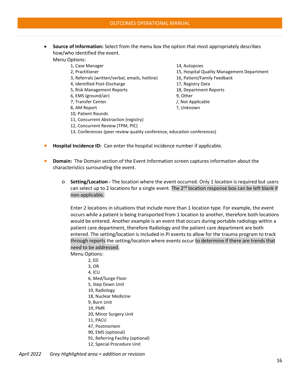• **Source of Information:** Select from the menu box the option that most appropriately describes how/who identified the event.

Menu Options:

- 1, Case Manager 14, Autopsies
- 
- 3, Referrals (written/verbal, emails, hotline) 16, Patient/Family Feedback
- 4, Identified Post-Discharge 17, Registry Data
- 5, Risk Management Reports 18, Department Reports
- 6, EMS (ground/air) 9, Other
- 7, Transfer Center // Not Applicable
- 
- 10, Patient Rounds
- 11, Concurrent Abstraction (registry)
- 12, Concurrent Review (TPM, PIC)
- 
- 2, Practitioner 15, Hospital Quality Management Department
	-
	-
	-
	-
	-
- 8, AM Report 2008 2. The Report 2008 2. Unknown
- 13, Conferences (peer review quality conference, education conferences)
- **Hospital Incidence ID:** Can enter the hospital incidence number if applicable.
- **Domain:** The Domain section of the Event Information screen captures information about the characteristics surrounding the event.
	- o **Setting/Location -** The location where the event occurred. Only 1 location is required but users can select up to 2 locations for a single event. The  $2<sup>nd</sup>$  location response box can be left blank if non-applicable.

Enter 2 locations in situations that include more than 1 location type. For example, the event occurs while a patient is being transported from 1 location to another, therefore both locations would be entered. Another example is an event that occurs during portable radiology within a patient care department, therefore Radiology and the patient care department are both entered. The setting/location is included in PI events to allow for the trauma program to track through reports the setting/location where events occur to determine if there are trends that need to be addressed.

Menu Options:

- 2, ED 3, OR 4, ICU 6, Med/Surge Floor 5, Step Down Unit 10, Radiology 18, Nuclear Medicine 9, Burn Unit 19, PMR 20, Minor Surgery Unit 11, PACU 47, Postmortem 90, EMS (optional) 91, Referring Facility (optional)
- 12, Special Procedure Unit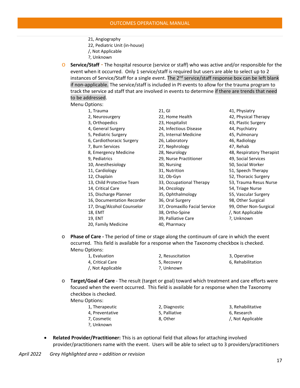- 21, Angiography
- 22, Pediatric Unit (in-house)
- /, Not Applicable
- ?, Unknown

o **Service/Staff** - The hospital resource (service or staff) who was active and/or responsible for the event when it occurred. Only 1 service/staff is required but users are able to select up to 2 instances of Service/Staff for a single event. The 2<sup>nd</sup> service/staff response box can be left blank if non-applicable. The service/staff is included in PI events to allow for the trauma program to track the service ad staff that are involved in events to determine if there are trends that need to be addressed.

#### Menu Options:

- 
- 
- 
- 
- 
- 
- 
- 
- 
- 
- 
- 
- 13, Child Protective Team 33, Occupational Therapy 53, Trauma Resus Nurse
- 
- 
- 16, Documentation Recorder 36, Oral Surgery 98, Other Surgical
- 17, Drug/Alcohol Counselor 37, Oromaxillo Facial Service 99, Other Non-Surgical
- 
- 
- 20, Family Medicine 40, Pharmacy

1, Trauma 21, GI 41, Physiatry 2, Neurosurgery 22, Home Health 42, Physical Therapy 3, Orthopedics 23, Hospitalist 43, Plastic Surgery 4, General Surgery 24, Infectious Disease 44, Psychiatry 5, Pediatric Surgery 25, Internal Medicine 45, Pulmonary 6, Cardiothoracic Surgery 26, Laboratory 46, Radiology 7, Burn Services 27, Nephrology 47, Rehab 9, Pediatrics 29, Nurse Practitioner 49, Social Services 10, Anesthesiology 30, Nursing 50, Social Worker 11, Cardiology 31, Nutrition 51, Speech Therapy 12, Chaplain 32, Ob-Gyn 52, Thoracic Surgery 14, Critical Care 34, Oncology 54, Triage Nurse 15, Discharge Planner 35, Ophthalmology 55, Vascular Surgery 18, EMT 38, Ortho-Spine /, Not Applicable 19, ENT 39, Palliative Care ?, Unknown

8, Emergency Medicine 28, Neurology 18, 28, Nespiratory Therapist

- o **Phase of Care -** The period of time or stage along the continuum of care in which the event occurred. This field is available for a response when the Taxonomy checkbox is checked. Menu Options:
	- 1, Evaluation 2, Resuscitation 3, Operative 4, Critical Care **6, Recovery** 6, Recovery 6, Rehabilitation /, Not Applicable ?, Unknown
		-
- o **Target/Goal of Care** The result (target or goal) toward which treatment and care efforts were focused when the event occurred. This field is available for a response when the Taxonomy checkbox is checked.

Menu Options:

- 1, Therapeutic 2, Diagnostic 3, Rehabilitative 4, Preventative **6, Research** 5, Palliative **6, Research** 6, Research 7, Cosmetic **8, Other 19, 2006** *S*, Cosmetic *also a series 8, Other S*, Cosmetic *Applicable* ?, Unknown
- <span id="page-17-1"></span><span id="page-17-0"></span>• **Related Provider/Practitioner:** This is an optional field that allows for attaching involved provider/practitioners name with the event. Users will be able to select up to 3 providers/practitioners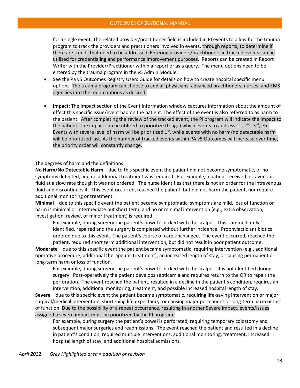for a single event. The related provider/practitioner field is included in PI events to allow for the trauma program to track the providers and practitioners involved in events, through reports, to determine if there are trends that need to be addressed. Entering providers/practitioners in tracked events can be utilized for credentialing and performance improvement purposes. Reports can be created in Report Writer with the Provider/Practitioner within a report or as a query. The menu options need to be entered by the trauma program in the v5 Admin Module.

- See the Pa v5 Outcomes Registry Users Guide for details on how to create hospital specific menu options. The trauma program can choose to add all physicians, advanced practitioners, nurses, and EMS agencies into the menu options as desired.
- **Impact:** The Impact section of the Event Information window captures information about the amount of effect this specific issue/event had on the patient. The effect of the event is also referred to as harm to the patient. After completing the review of the tracked event, the PI program will indicate the impact to the patient. The impact can be utilized to prioritize (triage) which events to address  $1^{st}$ ,  $2^{nd}$ ,  $3^{rd}$ , etc. Events with severe level of harm will be prioritized  $1<sup>st</sup>$ , while events with no harm/no detectable harm will be prioritized last. As the number of tracked events within PA v5 Outcomes will increase over time, the priority order will constantly change.

<span id="page-18-0"></span>The degrees of harm and the definitions:

**No Harm/No Detectable Harm** – due to this specific event the patient did not become symptomatic, or no symptoms detected, and no additional treatment was required. For example, a patient received intravenous fluid at a slow rate though it was not ordered. The nurse identifies that there is not an order for the intravenous fluid and discontinues it. This event occurred, reached the patient, but did not harm the patient, nor require additional monitoring or treatment.

<span id="page-18-1"></span>**Minimal** – due to this specific event the patient became symptomatic, symptoms are mild, loss of function or harm is minimal or intermediate but short term, and no or minimal intervention (e.g., extra observation, investigation, review, or minor treatment) is required.

For example, during surgery the patient's bowel is nicked with the scalpel. This is immediately identified, repaired and the surgery is completed without further incidence. Prophylactic antibiotics ordered due to this event. The patient's course of care unchanged. The event occurred, reached the patient, required short term additional intervention, but did not result in poor patient outcome.

<span id="page-18-2"></span>**Moderate** – due to this specific event the patient became symptomatic, requiring intervention (e.g., additional operative procedure; additional therapeutic treatment), an increased length of stay, or causing permanent or long-term harm or loss of function.

For example, during surgery the patient's bowel is nicked with the scalpel. It is not identified during surgery. Post-operatively the patient develops septicemia and requires return to the OR to repair the perforation. The event reached the patient, resulted in a decline in the patient's condition, requires an intervention, additional monitoring, treatment, and possible increased hospital length of stay.

<span id="page-18-3"></span>**Severe** – due to this specific event the patient became symptomatic, requiring life-saving intervention or major surgical/medical intervention, shortening life expectancy, or causing major permanent or long-term harm or loss of function. Due to the possibility of a repeat occurrence, resulting in another Severe impact, events/issues assigned a severe impact must be prioritized by the PI program.

For example, during surgery the patient's bowel is perforated, requiring temporary colostomy and subsequent major surgeries and readmissions. The event reached the patient and resulted in a decline in patient's condition, required multiple interventions, additional monitoring, treatment, increased hospital length of stay, and additional hospital admissions.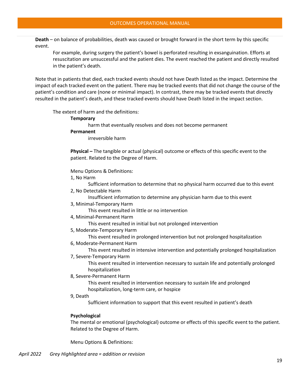<span id="page-19-0"></span>**Death** – on balance of probabilities, death was caused or brought forward in the short term by this specific event.

For example, during surgery the patient's bowel is perforated resulting in exsanguination. Efforts at resuscitation are unsuccessful and the patient dies. The event reached the patient and directly resulted in the patient's death.

<span id="page-19-1"></span>Note that in patients that died, each tracked events should not have Death listed as the impact. Determine the impact of each tracked event on the patient. There may be tracked events that did not change the course of the patient's condition and care (none or minimal impact). In contrast, there may be tracked events that directly resulted in the patient's death, and these tracked events should have Death listed in the impact section.

<span id="page-19-6"></span><span id="page-19-5"></span><span id="page-19-4"></span><span id="page-19-3"></span><span id="page-19-2"></span>The extent of harm and the definitions:

#### **Temporary**

harm that eventually resolves and does not become permanent

#### **Permanent**

irreversible harm

**Physical –** The tangible or actual (physical) outcome or effects of this specific event to the patient. Related to the Degree of Harm.

<span id="page-19-7"></span>Menu Options & Definitions:

1, No Harm

Sufficient information to determine that no physical harm occurred due to this event

2, No Detectable Harm

Insufficient information to determine any physician harm due to this event

3, Minimal-Temporary Harm

This event resulted in little or no intervention

4, Minimal-Permanent Harm

This event resulted in initial but not prolonged intervention

5, Moderate-Temporary Harm

This event resulted in prolonged intervention but not prolonged hospitalization

6, Moderate-Permanent Harm

This event resulted in intensive intervention and potentially prolonged hospitalization

7, Severe-Temporary Harm

This event resulted in intervention necessary to sustain life and potentially prolonged hospitalization

8, Severe-Permanent Harm

This event resulted in intervention necessary to sustain life and prolonged hospitalization, long-term care, or hospice

9, Death

Sufficient information to support that this event resulted in patient's death

#### <span id="page-19-8"></span>**Psychological**

<span id="page-19-9"></span>The mental or emotional (psychological) outcome or effects of this specific event to the patient. Related to the Degree of Harm.

<span id="page-19-10"></span>Menu Options & Definitions: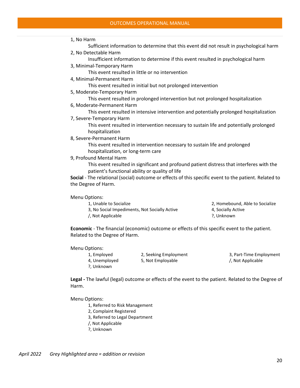- 1, No Harm
	- Sufficient information to determine that this event did not result in psychological harm
- 2, No Detectable Harm
	- Insufficient information to determine if this event resulted in psychological harm
- 3, Minimal-Temporary Harm
	- This event resulted in little or no intervention
- 4, Minimal-Permanent Harm
	- This event resulted in initial but not prolonged intervention
- 5, Moderate-Temporary Harm
	- This event resulted in prolonged intervention but not prolonged hospitalization
- 6, Moderate-Permanent Harm
- This event resulted in intensive intervention and potentially prolonged hospitalization
- 7, Severe-Temporary Harm

This event resulted in intervention necessary to sustain life and potentially prolonged hospitalization

8, Severe-Permanent Harm

This event resulted in intervention necessary to sustain life and prolonged hospitalization, or long-term care

9, Profound Mental Harm

This event resulted in significant and profound patient distress that interferes with the patient's functional ability or quality of life

<span id="page-20-0"></span>**Social** - The relational (social) outcome or effects of this specific event to the patient. Related to the Degree of Harm.

#### Menu Options:

- 1, Unable to Socialize 2, Homebound, Able to Socialize 3, No Social Impediments, Not Socially Active 4, Socially Active /, Not Applicable ?, Unknown
- -
	-

<span id="page-20-1"></span>**Economic** - The financial (economic) outcome or effects of this specific event to the patient. Related to the Degree of Harm.

Menu Options:

?, Unknown

1, Employed 2, Seeking Employment 3, Part-Time Employment 4, Unemployed 5, Not Employable  $\sim$  1, Not Applicable

<span id="page-20-2"></span>**Legal -** The lawful (legal) outcome or effects of the event to the patient. Related to the Degree of Harm.

Menu Options:

- 1, Referred to Risk Management
- 2, Complaint Registered
- 3, Referred to Legal Department
- /, Not Applicable
- ?, Unknown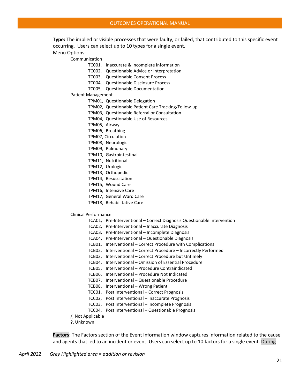<span id="page-21-0"></span>**Type:** The implied or visible processes that were faulty, or failed, that contributed to this specific event occurring. Users can select up to 10 types for a single event. Menu Options:

Communication

- TC001, Inaccurate & Incomplete Information
- TC002, Questionable Advice or Interpretation

TC003, Questionable Consent Process

- TC004, Questionable Disclosure Process
- TC005, Questionable Documentation

Patient Management

- TPM01, Questionable Delegation
- TPM02, Questionable Patient Care Tracking/Follow-up
- TPM03, Questionable Referral or Consultation
- TPM04, Questionable Use of Resources
- TPM05, Airway
- TPM06, Breathing
- TPM07, Circulation
- TPM08, Neurologic
- TPM09, Pulmonary
- TPM10, Gastrointestinal
- TPM11, Nutritional
- TPM12, Urologic
- TPM13, Orthopedic
- TPM14, Resuscitation
- TPM15, Wound Care
- TPM16, Intensive Care
- TPM17, General Ward Care
- TPM18, Rehabilitative Care

#### Clinical Performance

- TCA01, Pre-Interventional Correct Diagnosis Questionable Intervention
- TCA02, Pre-Interventional Inaccurate Diagnosis
- TCA03, Pre-Interventional Incomplete Diagnosis
- TCA04, Pre-Interventional Questionable Diagnosis
- TCB01, Interventional Correct Procedure with Complications
- TCB02, Interventional Correct Procedure Incorrectly Performed
- TCB03, Interventional Correct Procedure but Untimely
- TCB04, Interventional Omission of Essential Procedure
- TCB05, Interventional Procedure Contraindicated
- TCB06, Interventional Procedure Not Indicated
- TCB07, Interventional Questionable Procedure
- TCB08, Interventional Wrong Patient
- TCC01, Post Interventional Correct Prognosis
- TCC02, Post Interventional Inaccurate Prognosis
- TCC03, Post Interventional Incomplete Prognosis
- TCC04, Post Interventional Questionable Prognosis
- /, Not Applicable
- ?, Unknown

<span id="page-21-1"></span>**Factors**: The Factors section of the Event Information window captures information related to the cause and agents that led to an incident or event. Users can select up to 10 factors for a single event. During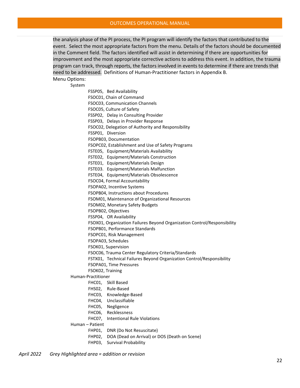the analysis phase of the PI process, the PI program will identify the factors that contributed to the event. Select the most appropriate factors from the menu. Details of the factors should be documented in the Comment field. The factors identified will assist in determining if there are opportunities for improvement and the most appropriate corrective actions to address this event. In addition, the trauma program can track, through reports, the factors involved in events to determine if there are trends that need to be addressed. Definitions of Human-Practitioner factors in Appendix B.

Menu Options:

System

FSSP05, Bed Availability FSOC01, Chain of Command FSOC03, Communication Channels FSOC05, Culture of Safety FSSP02, Delay in Consulting Provider FSSP03, Delays in Provider Response FSOC02, Delegation of Authority and Responsibility FSSP01, Diversion FSOPB03, Documentation FSOPC02, Establishment and Use of Safety Programs FSTE05, Equipment/Materials Availability FSTE02, Equipment/Materials Construction FSTE01, Equipment/Materials Design FSTE03. Equipment/Materials Malfunction FSTE04, Equipment/Materials Obsolescence FSOC04, Formal Accountability FSOPA02, Incentive Systems FSOPB04, Instructions about Procedures FSOM01, Maintenance of Organizational Resources FSOM02, Monetary Safety Budgets FSOPB02, Objectives FSSP04, OR Availability FSOX01, Organization Failures Beyond Organization Control/Responsibility FSOPB01, Performance Standards FSOPC01, Risk Management FSOPA03, Schedules FSOK01, Supervision FSOC06, Trauma Center Regulatory Criteria/Standards FSTX01, Technical Failures Beyond Organization Control/Responsibility FSOPA01, Time Pressures FSOK02, Training Human-Practitioner FHC01, Skill Based FHS02, Rule-Based FHC03, Knowledge-Based FHC04, Unclassifiable FHC05, Negligence FHC06, Recklessness FHC07, Intentional Rule Violations Human – Patient FHP01, DNR (Do Not Resuscitate) FHP02, DOA (Dead on Arrival) or DOS (Death on Scene) FHP03, Survival Probability

*April 2022 Grey Highlighted area = addition or revision*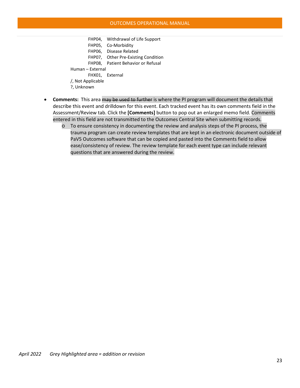FHP04, Withdrawal of Life Support FHP05, Co-Morbidity FHP06, Disease Related FHP07, Other Pre-Existing Condition FHP08, Patient Behavior or Refusal Human – External FHX01, External /, Not Applicable ?, Unknown

- **Comments:** This area may be used to further is where the PI program will document the details that describe this event and drilldown for this event. Each tracked event has its own comments field in the Assessment/Review tab. Click the **[Comments]** button to pop out an enlarged memo field. Comments entered in this field are not transmitted to the Outcomes Central Site when submitting records.
	- o To ensure consistency in documenting the review and analysis steps of the PI process, the trauma program can create review templates that are kept in an electronic document outside of PaV5 Outcomes software that can be copied and pasted into the Comments field to allow ease/consistency of review. The review template for each event type can include relevant questions that are answered during the review.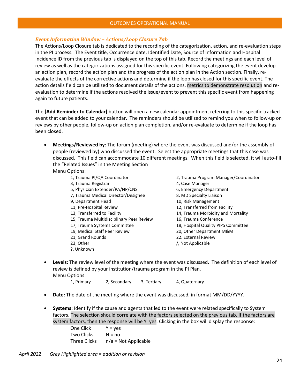#### *Event Information Window – Actions/Loop Closure Tab*

The Actions/Loop Closure tab is dedicated to the recording of the categorization, action, and re-evaluation steps in the PI process. The Event title, Occurrence date, Identified Date, Source of Information and Hospital Incidence ID from the previous tab is displayed on the top of this tab. Record the meetings and each level of review as well as the categorizations assigned for this specific event. Following categorizing the event develop an action plan, record the action plan and the progress of the action plan in the Action section. Finally, reevaluate the effects of the corrective actions and determine if the loop has closed for this specific event. The action details field can be utilized to document details of the actions, metrics to demonstrate resolution and reevaluation to determine if the actions resolved the issue/event to prevent this specific event from happening again to future patients.

The **[Add Reminder to Calendar]** button will open a new calendar appointment referring to this specific tracked event that can be added to your calendar. The reminders should be utilized to remind you when to follow-up on reviews by other people, follow-up on action plan completion, and/or re-evaluate to determine if the loop has been closed.

- **Meetings/Reviewed by**: The forum (meeting) where the event was discussed and/or the assembly of people (reviewed by) who discussed the event. Select the appropriate meetings that this case was discussed. This field can accommodate 10 different meetings. When this field is selected, it will auto-fill the "Related Issues" in the Meeting Section Menu Options:
	- 1, Trauma PI/QA Coordinator 2, Trauma Program Manager/Coordinator 3, Trauma Registrar 4, Case Manager 5, Physician Extender/PA/NP/CNS 6, Emergency Department 7, Trauma Medical Director/Designee 8, MD Specialty Liaison 9, Department Head 10, Risk Management 11, Pre-Hospital Review 12, Transferred from Facility 13, Transferred to Facility 14, Trauma Morbidity and Mortality 15, Trauma Multidisciplinary Peer Review 16, Trauma Conference 17, Trauma Systems Committee 18, Hospital Quality PIPS Committee 19, Medical Staff Peer Review 20, Other Department M&M 21, Grand Rounds 22. External Review 23, Other // Not Applicable
		- ?, Unknown
- 
- 
- 
- 
- 
- 
- 
- 
- 
- 
- 
- 
- **Levels:** The review level of the meeting where the event was discussed. The definition of each level of review is defined by your institution/trauma program in the PI Plan. Menu Options:

1, Primary 2, Secondary 3, Tertiary 4, Quaternary

- **Date:** The date of the meeting where the event was discussed, in format MM/DD/YYYY.
- **Systems:** Identify if the cause and agents that led to the event were related specifically to System factors. The selection should correlate with the factors selected on the previous tab. If the factors are system factors, then the response will be Y=yes. Clicking in the box will display the response:

One Click  $Y = yes$ Two Clicks  $N = no$ Three Clicks  $n/a = Not$  Applicable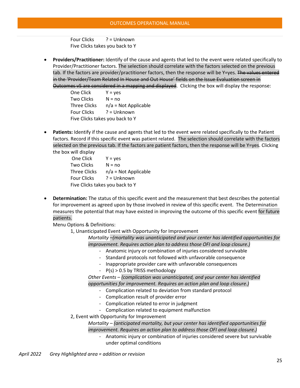Four Clicks ? = Unknown Five Clicks takes you back to Y

• **Providers/Practitioner:** Identify of the cause and agents that led to the event were related specifically to Provider/Practitioner factors. The selection should correlate with the factors selected on the previous tab. If the factors are provider/practitioner factors, then the response will be Y=yes. The values entered in the 'Provider/Team Related In House and Out House' fields on the Issue Evaluation screen in Outcomes v5 are considered in a mapping and displayed. Clicking the box will display the response:

One Click  $Y = yes$ Two Clicks  $N = no$ Three Clicks  $n/a = Not$  Applicable Four Clicks ? = Unknown Five Clicks takes you back to Y

• **Patients:** Identify if the cause and agents that led to the event were related specifically to the Patient factors. Record if this specific event was patient related. The selection should correlate with the factors selected on the previous tab. If the factors are patient factors, then the response will be Y=yes. Clicking the box will display

| One Click                       | $Y = yes$              |  |
|---------------------------------|------------------------|--|
| <b>Two Clicks</b>               | $N = no$               |  |
| <b>Three Clicks</b>             | $n/a = Not Applicable$ |  |
| <b>Four Clicks</b>              | $? = Unknown$          |  |
| Five Clicks takes you back to Y |                        |  |

• **Determination:** The status of this specific event and the measurement that best describes the potential for improvement as agreed upon by those involved in review of this specific event. The Determination measures the potential that may have existed in improving the outcome of this specific event for future patients.

<span id="page-25-0"></span>Menu Options & Definitions:

1, Unanticipated Event with Opportunity for Improvement

*Mortality –(mortality was unanticipated and your center has identified opportunities for improvement. Requires action plan to address those OFI and loop closure.)*

- Anatomic injury or combination of injuries considered survivable
- Standard protocols not followed with unfavorable consequence
- Inappropriate provider care with unfavorable consequences
- P(s) > 0.5 by TRISS methodology

*Other Events – (complication was unanticipated, and your center has identified opportunities for improvement. Requires an action plan and loop closure.)*

- Complication related to deviation from standard protocol
- Complication result of provider error
- Complication related to error in judgment
- Complication related to equipment malfunction
- 2, Event with Opportunity for Improvement

*Mortality – (anticipated mortality, but your center has identified opportunities for improvement. Requires an action plan to address those OFI and loop closure.)*

- Anatomic injury or combination of injuries considered severe but survivable under optimal conditions

*April 2022 Grey Highlighted area = addition or revision*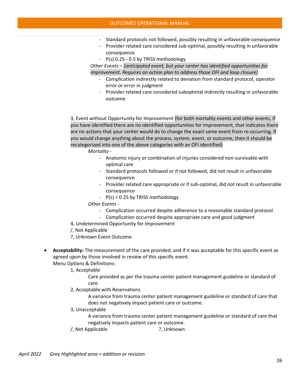- Standard protocols not followed, possibly resulting in unfavorable consequence
- Provider related care considered sub-optimal, possibly resulting in unfavorable consequence
- P(s) 0.25 0.5 by TRISS methodology

*Other Events – (anticipated event, but your center has identified opportunities for improvement. Requires an action plan to address those OFI and loop closure)*

- Complication indirectly related to deviation from standard protocol, operator error or error in judgment
- Provider related care considered suboptimal indirectly resulting in unfavorable outcome

3, Event without Opportunity for Improvement (for both mortality events and other events, if you have identified there are no identified opportunities for improvement, that indicates there are no actions that your center would do to change the exact same event from re-occurring. If you would change anything about the process, system, event, or outcome, then it should be recategorized into one of the above categories with an OFI identified)

*Mortality -* 

- Anatomic injury or combination of injuries considered non-survivable with optimal care
- Standard protocols followed or if not followed, did not result in unfavorable consequence
- Provider related care appropriate or if sub-optimal, did not result in unfavorable consequence
- P(s) < 0.25 by TRISS methodology

*Other Events -* 

- Complication occurred despite adherence to a reasonable standard protocol
- Complication occurred despite appropriate care and good judgment
- 4, Undetermined Opportunity for Improvement
- /, Not Applicable
- ?, Unknown Event Outcome
- **Acceptability:** The measurement of the care provided, and if it was acceptable for this specific event as agreed upon by those involved in review of this specific event. Menu Options & Definitions:

1, Acceptable

Care provided as per the trauma center patient management guideline or standard of care.

2, Acceptable with Reservations

A variance from trauma center patient management guideline or standard of care that does not negatively impact patient care or outcome.

3, Unacceptable

A variance from trauma center patient management guideline or standard of care that negatively impacts patient care or outcome.

/, Not Applicable ?, Unknown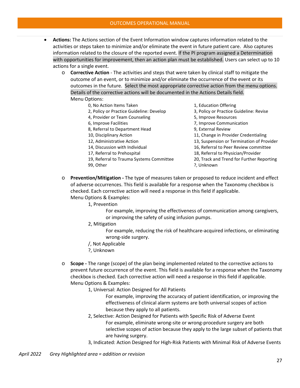- **Actions:** The Actions section of the Event Information window captures information related to the activities or steps taken to minimize and/or eliminate the event in future patient care. Also captures information related to the closure of the reported event. If the PI program assigned a Determination with opportunities for improvement, then an action plan must be established. Users can select up to 10 actions for a single event.
	- o **Corrective Action** The activities and steps that were taken by clinical staff to mitigate the outcome of an event, or to minimize and/or eliminate the occurrence of the event or its outcomes in the future. Select the most appropriate corrective action from the menu options. Details of the corrective actions will be documented in the Actions Details field. Menu Options:
		- 0, No Action Items Taken 1, Education Offering
		-
		-
		- 8, Referral to Department Head 9, External Review
		-
		-
		-
		-
		- 19, Referral to Trauma Systems Committee 20, Track and Trend for Further Reporting
		-

- 2, Policy or Practice Guideline: Develop 3, Policy or Practice Guideline: Revise
- 4, Provider or Team Counseling The State Council and State Council State Council State Council State Council S
- 6, Improve Facilities 7, Improve Communication
	-
- 10, Disciplinary Action 11, Change in Provider Credentialing
- 12, Administrative Action 13, Suspension or Termination of Provider
- 14, Discussion with Individual 16, Referral to Peer Review committee
- 17, Referral to Prehospital 18, Referral to Physician/Provider
	-
- 99, Other ?, Unknown
- o **Prevention/Mitigation -** The type of measures taken or proposed to reduce incident and effect of adverse occurrences. This field is available for a response when the Taxonomy checkbox is checked. Each corrective action will need a response in this field if applicable. Menu Options & Examples:
	- 1, Prevention
		- For example, improving the effectiveness of communication among caregivers, or improving the safety of using infusion pumps.
		- 2, Mitigation
			- For example, reducing the risk of healthcare-acquired infections, or eliminating wrong-side surgery.
		- /, Not Applicable
		- ?, Unknown
- o **Scope -** The range (scope) of the plan being implemented related to the corrective actions to prevent future occurrence of the event. This field is available for a response when the Taxonomy checkbox is checked. Each corrective action will need a response in this field if applicable. Menu Options & Examples:
	- 1, Universal: Action Designed for All Patients
		- For example, improving the accuracy of patient identification, or improving the effectiveness of clinical alarm systems are both universal scopes of action because they apply to all patients.
	- 2, Selective: Action Designed for Patients with Specific Risk of Adverse Event For example, eliminate wrong-site or wrong-procedure surgery are both selective scopes of action because they apply to the large subset of patients that are having surgery.
	- 3, Indicated: Action Designed for High-Risk Patients with Minimal Risk of Adverse Events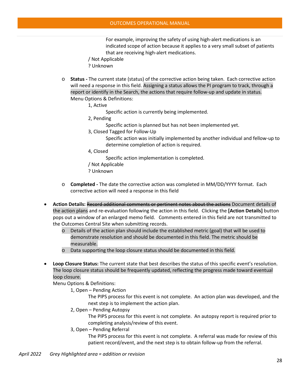For example, improving the safety of using high-alert medications is an indicated scope of action because it applies to a very small subset of patients that are receiving high-alert medications.

- / Not Applicable
- ? Unknown
- o **Status -** The current state (status) of the corrective action being taken. Each corrective action will need a response in this field. Assigning a status allows the PI program to track, through a report or identify in the Search, the actions that require follow-up and update in status. Menu Options & Definitions:
	- 1, Active
		- Specific action is currently being implemented.
	- 2, Pending
		- Specific action is planned but has not been implemented yet.
	- 3, Closed Tagged for Follow-Up
		- Specific action was initially implemented by another individual and fellow-up to determine completion of action is required.
	- 4, Closed
		- Specific action implementation is completed.
	- / Not Applicable
	- ? Unknown
- o **Completed -** The date the corrective action was completed in MM/DD/YYYY format. Each corrective action will need a response in this field
- **Action Details:** Record additional comments or pertinent notes about the actions Document details of the action plans and re-evaluation following the action in this field. Clicking the **[Action Details]** button pops out a window of an enlarged memo field. Comments entered in this field are not transmitted to the Outcomes Central Site when submitting records.
	- o Details of the action plan should include the established metric (goal) that will be used to demonstrate resolution and should be documented in this field. The metric should be measurable.
	- o Data supporting the loop closure status should be documented in this field.
- **Loop Closure Status:** The current state that best describes the status of this specific event's resolution. The loop closure status should be frequently updated, reflecting the progress made toward eventual loop closure.

Menu Options & Definitions:

1, Open – Pending Action

The PIPS process for this event is not complete. An action plan was developed, and the next step is to implement the action plan.

2, Open – Pending Autopsy

The PIPS process for this event is not complete. An autopsy report is required prior to completing analysis/review of this event.

3, Open – Pending Referral

The PIPS process for this event is not complete. A referral was made for review of this patient record/event, and the next step is to obtain follow-up from the referral.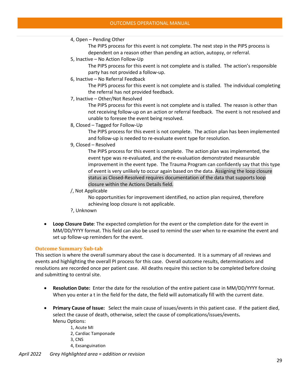#### OUTCOMES OPERATIONAL MANUAL

### 4, Open – Pending Other

The PIPS process for this event is not complete. The next step in the PIPS process is dependent on a reason other than pending an action, autopsy, or referral.

5, Inactive – No Action Follow-Up

The PIPS process for this event is not complete and is stalled. The action's responsible party has not provided a follow-up.

6, Inactive – No Referral Feedback

The PIPS process for this event is not complete and is stalled. The individual completing the referral has not provided feedback.

7, Inactive – Other/Not Resolved

The PIPS process for this event is not complete and is stalled. The reason is other than not receiving follow-up on an action or referral feedback. The event is not resolved and unable to foresee the event being resolved.

8, Closed – Tagged for Follow-Up

The PIPS process for this event is not complete. The action plan has been implemented and follow-up is needed to re-evaluate event type for resolution.

9, Closed – Resolved

The PIPS process for this event is complete. The action plan was implemented, the event type was re-evaluated, and the re-evaluation demonstrated measurable improvement in the event type. The Trauma Program can confidently say that this type of event is very unlikely to occur again based on the data. Assigning the loop closure status as Closed-Resolved requires documentation of the data that supports loop closure within the Actions Details field.

/, Not Applicable

No opportunities for improvement identified, no action plan required, therefore achieving loop closure is not applicable.

- ?, Unknown
- **Loop Closure Date**: The expected completion for the event or the completion date for the event in MM/DD/YYYY format. This field can also be used to remind the user when to re-examine the event and set up follow-up reminders for the event.

#### <span id="page-29-0"></span>**Outcome Summary Sub-tab**

This section is where the overall summary about the case is documented. It is a summary of all reviews and events and highlighting the overall PI process for this case. Overall outcome results, determinations and resolutions are recorded once per patient case. All deaths require this section to be completed before closing and submitting to central site.

- **Resolution Date:** Enter the date for the resolution of the entire patient case in MM/DD/YYYY format. When you enter a t in the field for the date, the field will automatically fill with the current date.
- **Primary Cause of Issue:** Select the main cause of issues/events in this patient case. If the patient died, select the cause of death, otherwise, select the cause of complications/issues/events**.** Menu Options:
	- 1, Acute MI
	- 2, Cardiac Tamponade
	- 3, CNS
	- 4, Exsanguination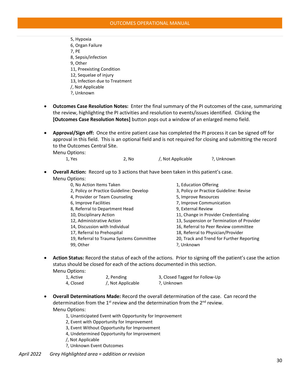- 5, Hypoxia 6, Organ Failure 7, PE 8, Sepsis/infection 9, Other 11, Preexisting Condition 12, Sequelae of injury 13, Infection due to Treatment /, Not Applicable ?, Unknown
- **Outcomes Case Resolution Notes:** Enter the final summary of the PI outcomes of the case, summarizing the review, highlighting the PI activities and resolution to events/issues identified. Clicking the **[Outcomes Case Resolution Notes]** button pops out a window of an enlarged memo field.
- **Approval/Sign off:** Once the entire patient case has completed the PI process it can be signed off for approval in this field. This is an optional field and is not required for closing and submitting the record to the Outcomes Central Site.

Menu Options:

| 1, Yes | 2, No | /, Not Applicable | ?, Unknown |
|--------|-------|-------------------|------------|
|        |       |                   |            |

• **Overall Action:** Record up to 3 actions that have been taken in this patient's case. Menu Options:

| 0, No Action Items Taken                 | 1, Education Offering                     |
|------------------------------------------|-------------------------------------------|
| 2, Policy or Practice Guideline: Develop | 3, Policy or Practice Guideline: Revise   |
| 4, Provider or Team Counseling           | 5, Improve Resources                      |
| 6, Improve Facilities                    | 7, Improve Communication                  |
| 8, Referral to Department Head           | 9, External Review                        |
| 10, Disciplinary Action                  | 11, Change in Provider Credentialing      |
| 12, Administrative Action                | 13, Suspension or Termination of Provider |
| 14, Discussion with Individual           | 16, Referral to Peer Review committee     |
| 17, Referral to Prehospital              | 18, Referral to Physician/Provider        |
| 19, Referral to Trauma Systems Committee | 20, Track and Trend for Further Reporting |
| 99, Other                                | ?, Unknown                                |
|                                          |                                           |

• **Action Status:** Record the status of each of the actions. Prior to signing off the patient's case the action status should be closed for each of the actions documented in this section. Menu Options:

| 1, Active | 2, Pending        | 3, Closed Tagged for Follow-Up |
|-----------|-------------------|--------------------------------|
| 4, Closed | /, Not Applicable | ?, Unknown                     |

- **Overall Determinations Made:** Record the overall determination of the case. Can record the determination from the  $1<sup>st</sup>$  review and the determination from the  $2<sup>nd</sup>$  review. Menu Options:
	- 1, Unanticipated Event with Opportunity for Improvement
	- 2, Event with Opportunity for Improvement
	- 3, Event Without Opportunity for Improvement
	- 4, Undetermined Opportunity for Improvement
	- /, Not Applicable
	- ?, Unknown Event Outcomes
- *April 2022 Grey Highlighted area = addition or revision*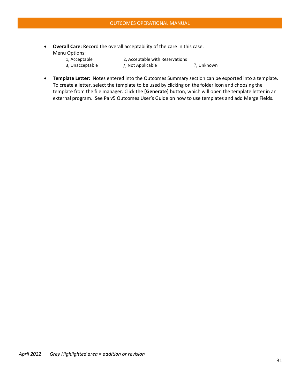- **Overall Care:** Record the overall acceptability of the care in this case. Menu Options:
	- 1, Acceptable 2, Acceptable with Reservations 3, Unacceptable /, Not Applicable ?, Unknown

• **Template Letter:** Notes entered into the Outcomes Summary section can be exported into a template. To create a letter, select the template to be used by clicking on the folder icon and choosing the template from the file manager. Click the **[Generate]** button, which will open the template letter in an external program. See Pa v5 Outcomes User's Guide on how to use templates and add Merge Fields.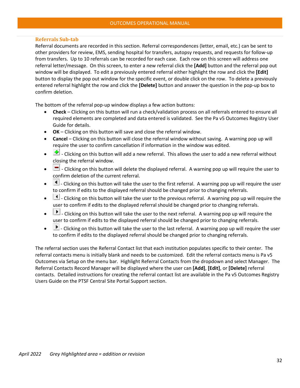#### <span id="page-32-0"></span>**Referrals Sub-tab**

Referral documents are recorded in this section. Referral correspondences (letter, email, etc.) can be sent to other providers for review, EMS, sending hospital for transfers, autopsy requests, and requests for follow-up from transfers. Up to 10 referrals can be recorded for each case. Each row on this screen will address one referral letter/message. On this screen, to enter a new referral click the **[Add]** button and the referral pop out window will be displayed. To edit a previously entered referral either highlight the row and click the **[Edit]**  button to display the pop out window for the specific event, or double click on the row. To delete a previously entered referral highlight the row and click the **[Delete]** button and answer the question in the pop-up box to confirm deletion.

The bottom of the referral pop-up window displays a few action buttons:

- **Check** Clicking on this button will run a check/validation process on all referrals entered to ensure all required elements are completed and data entered is validated. See the Pa v5 Outcomes Registry User Guide for details.
- **OK** Clicking on this button will save and close the referral window.
- **Cancel**  Clicking on this button will close the referral window without saving. A warning pop up will require the user to confirm cancellation if information in the window was edited.
- $\frac{d}{dx}$  Clicking on this button will add a new referral. This allows the user to add a new referral without closing the referral window.
- $\Box$  Clicking on this button will delete the displayed referral. A warning pop up will require the user to confirm deletion of the current referral.
- $\Box$  Clicking on this button will take the user to the first referral. A warning pop up will require the user to confirm if edits to the displayed referral should be changed prior to changing referrals.
- $\Box$  Clicking on this button will take the user to the previous referral. A warning pop up will require the user to confirm if edits to the displayed referral should be changed prior to changing referrals.
- $\Box$  Clicking on this button will take the user to the next referral. A warning pop up will require the user to confirm if edits to the displayed referral should be changed prior to changing referrals.
- $\blacktriangleright$  Clicking on this button will take the user to the last referral. A warning pop up will require the user to confirm if edits to the displayed referral should be changed prior to changing referrals.

The referral section uses the Referral Contact list that each institution populates specific to their center. The referral contacts menu is initially blank and needs to be customized. Edit the referral contacts menu is Pa v5 Outcomes via Setup on the menu bar. Highlight Referral Contacts from the dropdown and select Manager. The Referral Contacts Record Manager will be displayed where the user can **[Add]**, **[Edit]**, or **[Delete]** referral contacts. Detailed instructions for creating the referral contact list are available in the Pa v5 Outcomes Registry Users Guide on the PTSF Central Site Portal Support section.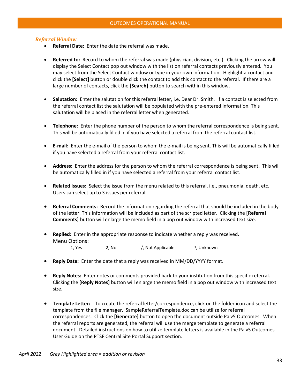#### *Referral Window*

- **Referral Date:** Enter the date the referral was made.
- **Referred to:** Record to whom the referral was made (physician, division, etc.). Clicking the arrow will display the Select Contact pop out window with the list on referral contacts previously entered. You may select from the Select Contact window or type in your own information. Highlight a contact and click the **[Select]** button or double click the contact to add this contact to the referral. If there are a large number of contacts, click the **[Search]** button to search within this window.
- **Salutation:** Enter the salutation for this referral letter, i.e. Dear Dr. Smith. If a contact is selected from the referral contact list the salutation will be populated with the pre-entered information. This salutation will be placed in the referral letter when generated.
- **Telephone:** Enter the phone number of the person to whom the referral correspondence is being sent. This will be automatically filled in if you have selected a referral from the referral contact list.
- **E-mail:** Enter the e-mail of the person to whom the e-mail is being sent. This will be automatically filled if you have selected a referral from your referral contact list.
- **Address:** Enter the address for the person to whom the referral correspondence is being sent. This will be automatically filled in if you have selected a referral from your referral contact list.
- **Related Issues:** Select the issue from the menu related to this referral, i.e., pneumonia, death, etc. Users can select up to 3 issues per referral.
- **Referral Comments:** Record the information regarding the referral that should be included in the body of the letter. This information will be included as part of the scripted letter. Clicking the **[Referral Comments]** button will enlarge the memo field in a pop out window with increased text size.
- **Replied:** Enter in the appropriate response to indicate whether a reply was received. Menu Options: 1, Yes 2, No /, Not Applicable ?, Unknown
- **Reply Date:** Enter the date that a reply was received in MM/DD/YYYY format.
- **Reply Notes:** Enter notes or comments provided back to your institution from this specific referral. Clicking the **[Reply Notes]** button will enlarge the memo field in a pop out window with increased text size.
- **Template Letter:** To create the referral letter/correspondence, click on the folder icon and select the template from the file manager. SampleReferralTemplate.doc can be utilize for referral correspondences. Click the **[Generate]** button to open the document outside Pa v5 Outcomes. When the referral reports are generated, the referral will use the merge template to generate a referral document. Detailed instructions on how to utilize template letters is available in the Pa v5 Outcomes User Guide on the PTSF Central Site Portal Support section.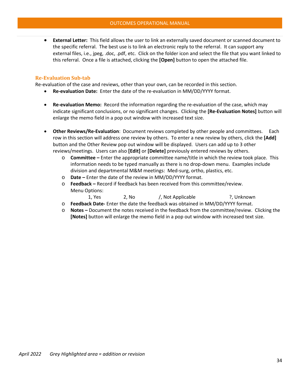• **External Letter:** This field allows the user to link an externally saved document or scanned document to the specific referral. The best use is to link an electronic reply to the referral. It can support any external files, i.e., jpeg, .doc, .pdf, etc. Click on the folder icon and select the file that you want linked to this referral. Once a file is attached, clicking the **[Open]** button to open the attached file.

#### <span id="page-34-0"></span>**Re-Evaluation Sub-tab**

Re-evaluation of the case and reviews, other than your own, can be recorded in this section.

- **Re-evaluation Date:** Enter the date of the re-evaluation in MM/DD/YYYY format.
- **Re-evaluation Memo:** Record the information regarding the re-evaluation of the case, which may indicate significant conclusions, or no significant changes. Clicking the **[Re-Evaluation Notes]** button will enlarge the memo field in a pop out window with increased text size.
- **Other Reviews/Re-Evaluation**: Document reviews completed by other people and committees. Each row in this section will address one review by others. To enter a new review by others, click the **[Add]** button and the Other Review pop out window will be displayed. Users can add up to 3 other reviews/meetings. Users can also **[Edit]** or **[Delete]** previously entered reviews by others.
	- o **Committee** Enter the appropriate committee name/title in which the review took place. This information needs to be typed manually as there is no drop-down menu. Examples include division and departmental M&M meetings: Med-surg, ortho, plastics, etc.
	- o **Date –** Enter the date of the review in MM/DD/YYYY format.
	- o **Feedback** Record if feedback has been received from this committee/review. Menu Options:

| 1, Yes | 2, No | /, Not Applicable | ?, Unknown |
|--------|-------|-------------------|------------|
|--------|-------|-------------------|------------|

- o **Feedback Date-** Enter the date the feedback was obtained in MM/DD/YYYY format.
- o **Notes** Document the notes received in the feedback from the committee/review. Clicking the **[Notes]** button will enlarge the memo field in a pop out window with increased text size.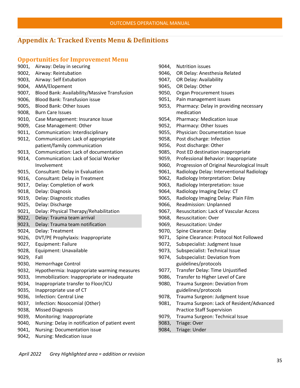# <span id="page-35-0"></span>**Appendix A: Tracked Events Menu & Definitions**

### <span id="page-35-1"></span>**Opportunities for Improvement Menu**

- 9001, Airway: Delay in securing
- 9002, Airway: Reintubation
- 9003, Airway: Self Extubation
- 9004, AMA/Elopement
- 9007, Blood Bank: Availability/Massive Transfusion
- 9006, Blood Bank: Transfusion issue
- 9005, Blood Bank: Other Issues
- 9008, Burn Care Issues
- 9010, Case Management: Insurance Issue
- 9009, Case Management: Other
- 9011, Communication: Interdisciplinary
- 9012, Communication: Lack of appropriate patient/family communication
- 9013, Communication: Lack of documentation
- 9014, Communication: Lack of Social Worker Involvement
- 9015, Consultant: Delay in Evaluation
- 9016, Consultant: Delay in Treatment
- 9017, Delay: Completion of work
- 9018, Delay: Diagnosis
- 9019, Delay: Diagnostic studies
- 9025, Delay: Discharge
- 9021, Delay: Physical Therapy/Rehabilitation
- 9022, Delay: Trauma team arrival
- 9023, Delay: Trauma team notification
- 9024, Delay: Treatment
- 9026, DVT/PE Prophylaxis: Inappropriate
- 9027, Equipment: Failure
- 9028, Equipment: Unavailable
- 9029, Fall
- 9030, Hemorrhage Control
- 9032, Hypothermia: Inappropriate warming measures
- 9033, Immobilization: Inappropriate or inadequate
- 9034, Inappropriate transfer to Floor/ICU
- 9035, Inappropriate use of CT
- 9036, Infection: Central Line
- 9037, Infection: Nosocomial (Other)
- 9038, Missed Diagnosis
- 9039, Monitoring: Inappropriate
- 9040, Nursing: Delay in notification of patient event
- 9041, Nursing: Documentation issue
- 9042, Nursing: Medication issue
- 9044, Nutrition issues
- 9046, OR Delay: Anesthesia Related
- 9047, OR Delay: Availability
- 9045, OR Delay: Other
- 9050, Organ Procurement Issues
- 9051, Pain management issues
- 9053, Pharmacy: Delay in providing necessary medication
- 9054, Pharmacy: Medication issue
- 9052, Pharmacy: Other Issues
- 9055, Physician: Documentation Issue
- 9058, Post discharge: Infection
- 9056, Post discharge: Other
- 9085, Post ED destination inappropriate
- 9059, Professional Behavior: Inappropriate
- 9060, Progression of Original Neurological Insult
- 9061, Radiology Delay: Interventional Radiology
- 9062, Radiology Interpretation: Delay
- 9063, Radiology Interpretation: Issue
- 9064, Radiology Imaging Delay: CT
- 9065, Radiology Imaging Delay: Plain Film
- 9066, Readmission: Unplanned
- 9067, Resuscitation: Lack of Vascular Access
- 9068, Resuscitation: Over
- 9069, Resuscitation: Under
- 9070, Spine Clearance: Delay
- 9071, Spine Clearance: Protocol Not Followed
- 9072, Subspecialist: Judgment Issue
- 9073, Subspecialist: Technical Issue
- 9074, Subspecialist: Deviation from guidelines/protocols
- 9077, Transfer Delay: Time Unjustified
- 9086, Transfer to Higher Level of Care
- 9080, Trauma Surgeon: Deviation from guidelines/protocols
- 9078, Trauma Surgeon: Judgment Issue
- 9081, Trauma Surgeon: Lack of Resident/Advanced Practice Staff Supervision
- 9079, Trauma Surgeon: Technical Issue
- 9083, Triage: Over
- 9084, Triage: Under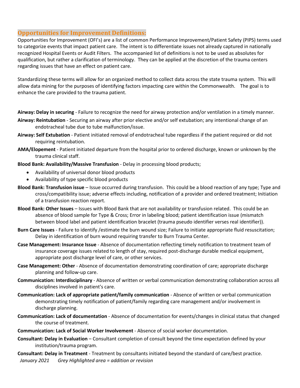## **Opportunities for Improvement Definitions:**

Opportunities for Improvement (OFI's) are a list of common Performance Improvement/Patient Safety (PIPS) terms used to categorize events that impact patient care. The intent is to differentiate issues not already captured in nationally recognized Hospital Events or Audit Filters. The accompanied list of definitions is not to be used as absolutes for qualification, but rather a clarification of terminology. They can be applied at the discretion of the trauma centers regarding issues that have an effect on patient care.

Standardizing these terms will allow for an organized method to collect data across the state trauma system. This will allow data mining for the purposes of identifying factors impacting care within the Commonwealth. The goal is to enhance the care provided to the trauma patient.

**Airway: Delay in securing** - Failure to recognize the need for airway protection and/or ventilation in a timely manner.

- **Airway: Reintubation** Securing an airway after prior elective and/or self extubation; any intentional change of an endotracheal tube due to tube malfunction/issue.
- **Airway: Self Extubation** Patient initiated removal of endotracheal tube regardless if the patient required or did not requiring reintubation.
- **AMA/Elopement** Patient initiated departure from the hospital prior to ordered discharge, known or unknown by the trauma clinical staff.
- **Blood Bank: Availability/Massive Transfusion** Delay in processing blood products;
	- Availability of universal donor blood products
	- Availability of type specific blood products
- **Blood Bank: Transfusion issue** Issue occurred during transfusion. This could be a blood reaction of any type; Type and cross/compatibility issue; adverse effects including, notification of a provider and ordered treatment; Initiation of a transfusion reaction report.
- **Blood Bank: Other Issues** Issues with Blood Bank that are not availability or transfusion related. This could be an absence of blood sample for Type & Cross; Error in labeling blood; patient identification issue (mismatch between blood label and patient identification bracelet (trauma pseudo identifier verses real identifier)).
- **Burn Care Issues** Failure to identify /estimate the burn wound size; Failure to initiate appropriate fluid resuscitation; Delay in identification of burn wound requiring transfer to Burn Trauma Center.
- **Case Management: Insurance Issue** Absence of documentation reflecting timely notification to treatment team of insurance coverage issues related to length of stay, required post-discharge durable medical equipment, appropriate post discharge level of care, or other services.
- **Case Management: Other** Absence of documentation demonstrating coordination of care; appropriate discharge planning and follow-up care.
- **Communication: Interdisciplinary** Absence of written or verbal communication demonstrating collaboration across all disciplines involved in patient's care.
- **Communication: Lack of appropriate patient/family communication** Absence of written or verbal communication demonstrating timely notification of patient/family regarding care management and/or involvement in discharge planning.
- **Communication: Lack of documentation** Absence of documentation for events/changes in clinical status that changed the course of treatment.
- **Communication: Lack of Social Worker Involvement** Absence of social worker documentation.
- **Consultant: Delay in Evaluation** Consultant completion of consult beyond the time expectation defined by your institution/trauma program.

 *January 2021 Grey Highlighted area = addition or revision* **Consultant: Delay in Treatment** - Treatment by consultants initiated beyond the standard of care/best practice.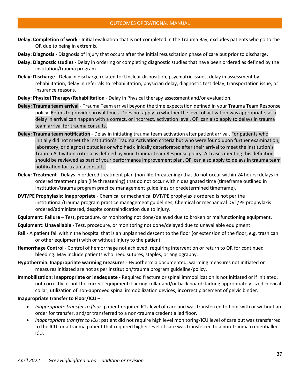- **Delay: Completion of work** Initial evaluation that is not completed in the Trauma Bay; excludes patients who go to the OR due to being in extremis.
- **Delay: Diagnosis** Diagnosis of injury that occurs after the initial resuscitation phase of care but prior to discharge.
- **Delay: Diagnostic studies** Delay in ordering or completing diagnostic studies that have been ordered as defined by the institution/trauma program.
- **Delay: Discharge** Delay in discharge related to: Unclear disposition, psychiatric issues, delay in assessment by rehabilitation, delay in referrals to rehabilitation, physician delay, diagnostic test delay, transportation issue, or insurance reasons.
- **Delay: Physical Therapy/Rehabilitation** Delay in Physical therapy assessment and/or evaluation.
- **Delay: Trauma team arrival** Trauma Team arrival beyond the time expectation defined in your Trauma Team Response policy. Refers to provider arrival times. Does not apply to whether the level of activation was appropriate, as a delay in arrival can happen with a correct, or incorrect, activation level. OFI can also apply to delays in trauma team arrival for trauma consults.
- **Delay: Trauma team notification** Delay in initiating trauma team activation after patient arrival. For patients who initially did not meet the institution's Trauma Activation criteria but who were found upon further examination, laboratory, or diagnostic studies or who had clinically deteriorated after their arrival to meet the institution's Trauma Activation criteria as defined by your Trauma Team Response policy. All cases meeting this definition should be reviewed as part of your performance improvement plan. OFI can also apply to delays in trauma team notification for trauma consults.
- **Delay: Treatment** Delays in ordered treatment plan (non-life threatening) that do not occur within 24 hours; delays in ordered treatment plan (life threatening) that do not occur within designated time (timeframe outlined in institution/trauma program practice management guidelines or predetermined timeframe).
- **DVT/PE Prophylaxis: Inappropriate** Chemical or mechanical DVT/PE prophylaxis ordered is not per the institutional/trauma program practice management guidelines; Chemical or mechanical DVT/PE prophylaxis ordered/administered, despite contraindication due to injury.
- **Equipment: Failure** Test, procedure, or monitoring not done/delayed due to broken or malfunctioning equipment.
- **Equipment: Unavailable** Test, procedure, or monitoring not done/delayed due to unavailable equipment.
- **Fall** A patient fall within the hospital that is an unplanned descent to the floor (or extension of the floor, e,g, trash can or other equipment) with or without injury to the patient.
- **Hemorrhage Control** Control of hemorrhage not achieved, requiring intervention or return to OR for continued bleeding. May include patients who need sutures, staples, or angiography.
- **Hypothermia: Inappropriate warming measures** Hypothermia documented, warming measures not initiated or measures initiated are not as per institution/trauma program guideline/policy.
- **Immobilization: Inappropriate or inadequate** Required fracture or spinal immobilization is not initiated or if initiated, not correctly or not the correct equipment: Lacking collar and/or back board; lacking appropriately sized cervical collar; utilization of non-approved spinal immobilization devices; incorrect placement of pelvic binder.

#### **Inappropriate transfer to Floor/ICU** –

- *Inappropriate transfer to floor*: patient required ICU level of care and was transferred to floor with or without an order for transfer, and/or transferred to a non-trauma credentialled floor.
- *Inappropriate transfer to ICU*: patient did not require high level monitoring/ICU level of care but was transferred to the ICU, or a trauma patient that required higher level of care was transferred to a non-trauma credentialled ICU.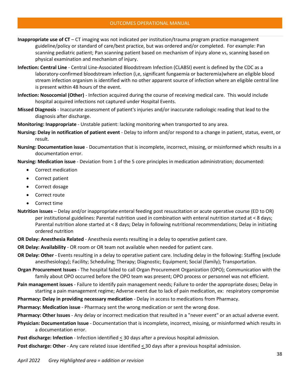**Inappropriate use of CT** – CT imaging was not indicated per institution/trauma program practice management guideline/policy or standard of care/best practice, but was ordered and/or completed. For example: Pan scanning pediatric patient; Pan scanning patient based on mechanism of injury alone vs, scanning based on physical examination and mechanism of injury.

- **Infection: Central Line** Central Line-Associated Bloodstream Infection (CLABSI) event is defined by the CDC as a laboratory-confirmed bloodstream infection (i,e, significant fungaemia or bacteremia)where an eligible blood stream infection organism is identified with no other apparent source of infection where an eligible central line is present within 48 hours of the event.
- **Infection: Nosocomial (Other)** Infection acquired during the course of receiving medical care. This would include hospital acquired infections not captured under Hospital Events.
- **Missed Diagnosis** Inaccurate assessment of patient's injuries and/or inaccurate radiologic reading that lead to the diagnosis after discharge.
- **Monitoring: Inappropriate** Unstable patient: lacking monitoring when transported to any area.
- **Nursing: Delay in notification of patient event** Delay to inform and/or respond to a change in patient, status, event, or result.
- **Nursing: Documentation issue** Documentation that is incomplete, incorrect, missing, or misinformed which results in a documentation error.

**Nursing: Medication issue** - Deviation from 1 of the 5 core principles in medication administration; documented:

- Correct medication
- Correct patient
- Correct dosage
- Correct route
- Correct time
- **Nutrition issues** Delay and/or inappropriate enteral feeding post resuscitation or acute operative course (ED to OR) per institutional guidelines: Parental nutrition used in combination with enteral nutrition started at < 8 days; Parental nutrition alone started at < 8 days; Delay in following nutritional recommendations; Delay in initiating ordered nutrition
- **OR Delay: Anesthesia Related** Anesthesia events resulting in a delay to operative patient care.

**OR Delay: Availability** - OR room or OR team not available when needed for patient care.

- **OR Delay: Other** Events resulting in a delay to operative patient care. Including delay in the following: Staffing (exclude anesthesiology); Facility; Scheduling; Therapy; Diagnostic; Equipment; Social (family); Transportation.
- **Organ Procurement Issues**  The hospital failed to call Organ Procurement Organization (OPO); Communication with the family about OPO occurred before the OPO team was present; OPO process or personnel was not efficient.
- **Pain management issues** Failure to identify pain management needs; Failure to order the appropriate doses; Delay in starting a pain management regime; Adverse event due to lack of pain medication, ex: respiratory compromise
- **Pharmacy: Delay in providing necessary medication** Delay in access to medications from Pharmacy.
- **Pharmacy: Medication issue** Pharmacy sent the wrong medication or sent the wrong dose.
- **Pharmacy: Other Issues**  Any delay or incorrect medication that resulted in a "never event" or an actual adverse event.
- **Physician: Documentation Issue** Documentation that is incomplete, incorrect, missing, or misinformed which results in a documentation error.
- **Post discharge: Infection** Infection identified < 30 days after a previous hospital admission.

**Post discharge: Other** - Any care related issue identified < 30 days after a previous hospital admission.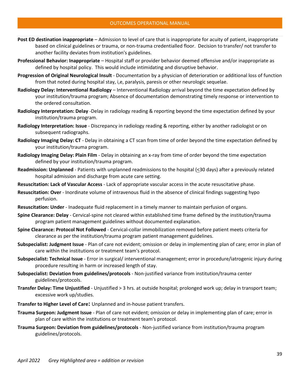- **Post ED destination inappropriate** Admission to level of care that is inappropriate for acuity of patient, inappropriate based on clinical guidelines or trauma, or non-trauma credentialled floor. Decision to transfer/ not transfer to another facility deviates from institution's guidelines.
- **Professional Behavior: Inappropriate** Hospital staff or provider behavior deemed offensive and/or inappropriate as defined by hospital policy. This would include intimidating and disruptive behavior.
- **Progression of Original Neurological Insult** Documentation by a physician of deterioration or additional loss of function from that noted during hospital stay, i,e, paralysis, paresis or other neurologic sequelae.
- **Radiology Delay: Interventional Radiology** Interventional Radiology arrival beyond the time expectation defined by your institution/trauma program; Absence of documentation demonstrating timely response or intervention to the ordered consultation.
- **Radiology Interpretation: Delay** -Delay in radiology reading & reporting beyond the time expectation defined by your institution/trauma program.
- **Radiology Interpretation: Issue** Discrepancy in radiology reading & reporting, either by another radiologist or on subsequent radiographs.
- **Radiology Imaging Delay: CT** Delay in obtaining a CT scan from time of order beyond the time expectation defined by your institution/trauma program.
- **Radiology Imaging Delay: Plain Film** Delay in obtaining an x-ray from time of order beyond the time expectation defined by your institution/trauma program.
- **Readmission: Unplanned** Patients with unplanned readmissions to the hospital (<30 days) after a previously related hospital admission and discharge from acute care setting.
- **Resuscitation: Lack of Vascular Access** Lack of appropriate vascular access in the acute resuscitative phase.
- **Resuscitation: Over** Inordinate volume of intravenous fluid in the absence of clinical findings suggesting hypo perfusion.
- **Resuscitation: Under** Inadequate fluid replacement in a timely manner to maintain perfusion of organs.
- **Spine Clearance: Delay** Cervical-spine not cleared within established time frame defined by the institution/trauma program patient management guidelines without documented explanation.
- **Spine Clearance: Protocol Not Followed** Cervical-collar immobilization removed before patient meets criteria for clearance as per the institution/trauma program patient management guidelines.
- **Subspecialist: Judgment Issue** Plan of care not evident; omission or delay in implementing plan of care; error in plan of care within the institutions or treatment team's protocol.
- **Subspecialist: Technical Issue** Error in surgical/ interventional management; error in procedure/iatrogenic injury during procedure resulting in harm or increased length of stay.
- **Subspecialist: Deviation from guidelines/protocols** Non-justified variance from institution/trauma center guidelines/protocols.
- **Transfer Delay: Time Unjustified** Unjustified > 3 hrs. at outside hospital; prolonged work up; delay in transport team; excessive work up/studies.
- **Transfer to Higher Level of Care:** Unplanned and in-house patient transfers.
- **Trauma Surgeon: Judgment Issue** Plan of care not evident; omission or delay in implementing plan of care; error in plan of care within the institutions or treatment team's protocol.
- **Trauma Surgeon: Deviation from guidelines/protocols** Non-justified variance from institution/trauma program guidelines/protocols.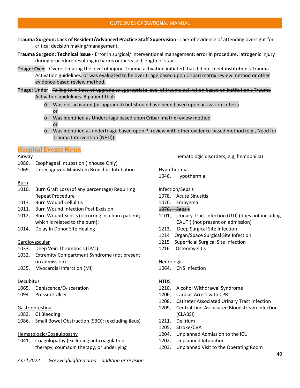- **Trauma Surgeon: Lack of Resident/Advanced Practice Staff Supervision** Lack of evidence of attending oversight for critical decision making/management.
- **Trauma Surgeon: Technical Issue** Error in surgical/ interventional management; error in procedure, iatrogenic injury during procedure resulting in harms or increased length of stay.
- **Triage: Over** Overestimating the level of injury; Trauma activation initiated that did not meet institution's Trauma Activation guidelines-or was evaluated to be over triage based upon Cribari matrix review method or other evidence-based review method.
- **Triage: Under** Failing to initiate or upgrade to appropriate level of trauma activation based on institution's Trauma Activation guidelines. A patient that:
	- o Was not activated (or upgraded) but should have been based upon activation criteria or
	- o Was identified as Undertriage based upon Cribari matrix review method or
	- o Was identified as undertriage based upon PI review with other evidence-based method (e.g., Need for Trauma Intervention (NFTI)).

## **Hospital Events Menu**

### Airway

- 1080, Esophageal Intubation (Inhouse Only)
- 1069, Unrecognized Mainstem Bronchus Intubation

### **Burn**

- 1010, Burn Graft Loss (of any percentage) Requiring Repeat Procedure
- 1013, Burn Wound Cellulitis
- 1011, Burn Wound Infection Post Excision
- 1012, Burn Wound Sepsis (occurring in a burn patient; which is related to the burn):
- 1014, Delay In Donor Site Healing

### Cardiovascular

- 1033, Deep Vein Thrombosis (DVT)
- 1032, Extremity Compartment Syndrome (not present on admission)
- 1035, Myocardial Infarction (MI)

### Decubitus

- 1065, Dehiscence/Evisceration
- 1094, Pressure Ulcer

## Gastrointestinal

- 1083, GI Bleeding
- 1086, Small Bowel Obstruction (SBO): (excluding ileus)

## Hematologic/Coagulopathy

1041, Coagulopathy (excluding anticoagulation therapy, coumadin therapy, or underlying hematologic disorders, e,g, hemophilia)

# Hypothermia

1046, Hypothermia

## Infection/Sepsis

- 1078, Acute Sinusitis
- 1070, Empyema
- 1076, Sepsis
- 1101, Urinary Tract Infection (UTI) (does not including CAUTI) (not present on admission)
- 1213, Deep Surgical Site Infection
- 1214 Organ/Space Surgical Site Infection
- 1215 Superficial Surgical Site Infection
- 1216 Osteomyelitis

### Neurologic

1064, CNS Infection

### NTDS

- 1210, Alcohol Withdrawal Syndrome
- 1206, Cardiac Arrest with CPR
- 1208, Catheter Associated Urinary Tract Infection
- 1209, Central Line-Associated Bloodstream Infection (CLABSI)
- 1211, Delirium
- 1205, Stroke/CVA
- 1204, Unplanned Admission to the ICU
- 1202, Unplanned Intubation
- 1203, Unplanned Visit to the Operating Room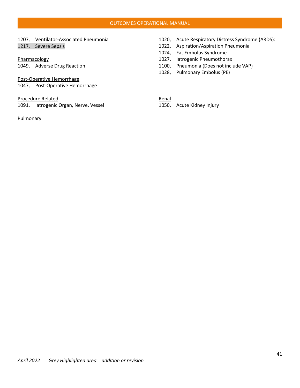#### OUTCOMES OPERATIONAL MANUAL

### 1207, Ventilator-Associated Pneumonia 1217, Severe Sepsis

### **Pharmacology**

1049, Adverse Drug Reaction

### Post-Operative Hemorrhage

1047, Post-Operative Hemorrhage

### Procedure Related

1091, Iatrogenic Organ, Nerve, Vessel

### Pulmonary

- 1020, Acute Respiratory Distress Syndrome (ARDS):
- 1022, Aspiration/Aspiration Pneumonia
- 1024, Fat Embolus Syndrome
- 1027, Iatrogenic Pneumothorax
- 1100, Pneumonia (Does not include VAP)
- 1028, Pulmonary Embolus (PE)

Renal

1050, Acute Kidney Injury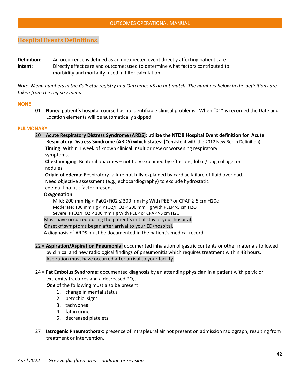# **Hospital Events Definitions**:

**Definition:** An occurrence is defined as an unexpected event directly affecting patient care **Intent:** Directly affect care and outcome; used to determine what factors contributed to morbidity and mortality; used in filter calculation

*Note: Menu numbers in the Collector registry and Outcomes v5 do not match. The numbers below in the definitions are taken from the registry menu.*

### **NONE**

01 = **None:** patient's hospital course has no identifiable clinical problems. When "01" is recorded the Date and Location elements will be automatically skipped.

#### **PULMONARY**

20 = **Acute Respiratory Distress Syndrome (ARDS): utilize the NTDB Hospital Event definition for Acute Respiratory Distress Syndrome (ARDS) which states: (Consistent with the 2012 New Berlin Definition) Timing**: Within 1 week of known clinical insult or new or worsening respiratory symptoms.

 **Chest imaging**: Bilateral opacities – not fully explained by effusions, lobar/lung collage, or nodules

 **Origin of edema**: Respiratory failure not fully explained by cardiac failure of fluid overload. Need objective assessment (e.g., echocardiography) to exclude hydrostatic edema if no risk factor present

#### **Oxygenation**:

Mild: 200 mm Hg < Pa02/Fi02 ≤ 300 mm Hg With PEEP or CPAP ≥ 5 cm H20c Moderate: 100 mm Hg < PaO2/FIO2 < 200 mm Hg With PEEP >5 cm H2O Severe: PaO2/FIO2 < 100 mm Hg With PEEP or CPAP >5 cm H2O

Must have occurred during the patient's initial stay at your hospital.

## Onset of symptoms began after arrival to your ED/hospital.

A diagnosis of ARDS must be documented in the patient's medical record.

- 22 = **Aspiration/Aspiration Pneumonia:** documented inhalation of gastric contents or other materials followed by clinical and new radiological findings of pneumonitis which requires treatment within 48 hours. Aspiration must have occurred after arrival to your facility.
- 24 = **Fat Embolus Syndrome:** documented diagnosis by an attending physician in a patient with pelvic or extremity fractures and a decreased PO<sub>2</sub>.

**One** of the following must also be present:

- 1. change in mental status
- 2. petechial signs
- 3. tachypnea
- 4. fat in urine
- 5. decreased platelets
- 27 = **Iatrogenic Pneumothorax:** presence of intrapleural air not present on admission radiograph, resulting from treatment or intervention.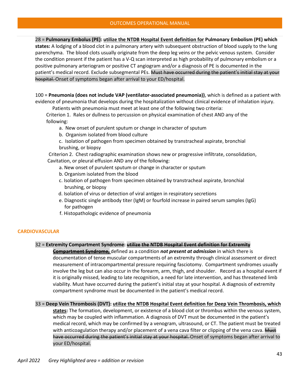28 = **Pulmonary Embolus (PE): utilize the NTDB Hospital Event definition for Pulmonary Embolism (PE) which states:** A lodging of a blood clot in a pulmonary artery with subsequent obstruction of blood supply to the lung parenchyma. The blood clots usually originate from the deep leg veins or the pelvic venous system. Consider the condition present if the patient has a V-Q scan interpreted as high probability of pulmonary embolism or a positive pulmonary arteriogram or positive CT angiogram and/or a diagnosis of PE is documented in the patient's medical record. Exclude subsegmental PEs. Must have occurred during the patient's initial stay at your hospital. Onset of symptoms began after arrival to your ED/hospital.

100 = **Pneumonia (does not include VAP (ventilator-associated pneumonia))**, which is defined as a patient with evidence of pneumonia that develops during the hospitalization without clinical evidence of inhalation injury.

Patients with pneumonia must meet at least one of the following two criteria:

 Criterion 1. Rales or dullness to percussion on physical examination of chest AND any of the following:

- a. New onset of purulent sputum or change in character of sputum
- b. Organism isolated from blood culture
- c. Isolation of pathogen from specimen obtained by transtracheal aspirate, bronchial brushing, or biopsy

 Criterion 2. Chest radiographic examination shows new or progressive infiltrate, consolidation, Cavitation, or pleural effusion AND any of the following:

- a. New onset of purulent sputum or change in character or sputum
- b. Organism isolated from the blood
- c. Isolation of pathogen from specimen obtained by transtracheal aspirate, bronchial brushing, or biopsy
- d. Isolation of virus or detection of viral antigen in respiratory secretions
- e. Diagnostic single antibody titer (IgM) or fourfold increase in paired serum samples (IgG) for pathogen
- f. Histopathologic evidence of pneumonia

#### **CARDIOVASCULAR**

### 32 = **Extremity Compartment Syndrome: utilize the NTDB Hospital Event definition for Extremity**

**Compartment Syndrome,** defined as a condition *not present at admission* in which there is documentation of tense muscular compartments of an extremity through clinical assessment or direct measurement of intracompartmental pressure requiring fasciotomy. Compartment syndromes usually involve the leg but can also occur in the forearm, arm, thigh, and shoulder. Record as a hospital event if it is originally missed, leading to late recognition, a need for late intervention, and has threatened limb viability. Must have occurred during the patient's initial stay at your hospital. A diagnosis of extremity compartment syndrome must be documented in the patient's medical record.

33 = **Deep Vein Thrombosis (DVT): utilize the NTDB Hospital Event definition for Deep Vein Thrombosis, which** 

**states:** The formation, development, or existence of a blood clot or thrombus within the venous system, which may be coupled with inflammation. A diagnosis of DVT must be documented in the patient's medical record, which may be confirmed by a venogram, ultrasound, or CT. The patient must be treated with anticoagulation therapy and/or placement of a vena cava filter or clipping of the vena cava. Must have occurred during the patient's initial stay at your hospital. Onset of symptoms began after arrival to your ED/hospital.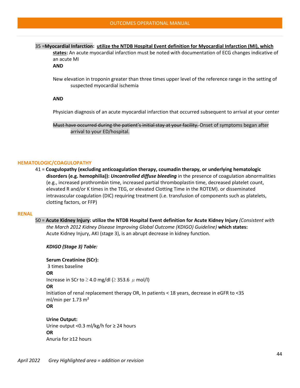#### 35 =**Myocardial Infarction: utilize the NTDB Hospital Event definition for Myocardial Infarction (MI), which**

**states:** An acute myocardial infarction must be noted with documentation of ECG changes indicative of an acute MI

**AND**

New elevation in troponin greater than three times upper level of the reference range in the setting of suspected myocardial ischemia

#### **AND**

Physician diagnosis of an acute myocardial infarction that occurred subsequent to arrival at your center

Must have occurred during the patient's initial stay at your facility. Onset of symptoms began after arrival to your ED/hospital.

### **HEMATOLOGIC/COAGULOPATHY**

41 = **Coagulopathy (excluding anticoagulation therapy, coumadin therapy, or underlying hematologic disorders (e.g. hemophilia)):** *Uncontrolled diffuse bleeding* in the presence of coagulation abnormalities (e.g., increased prothrombin time, increased partial thromboplastin time, decreased platelet count, elevated R and/or K times in the TEG, or elevated Clotting Time in the ROTEM). or disseminated intravascular coagulation (DIC) requiring treatment (i.e. transfusion of components such as platelets, clotting factors, or FFP)

#### **RENAL**

50 = **Acute Kidney Injury: utilize the NTDB Hospital Event definition for Acute Kidney Injury** *(Consistent with the March 2012 Kidney Disease Improving Global Outcome (KDIGO) Guideline)* **which states:** Acute Kidney Injury, AKI (stage 3), is an abrupt decrease in kidney function.

*KDIGO (Stage 3) Table:*

**Serum Creatinine (SCr):** 3 times baseline **OR** Increase in SCr to  $\geq$  4.0 mg/dl ( $\geq$  353.6  $\mu$  mol/l) **OR** Initiation of renal replacement therapy OR, In patients < 18 years, decrease in eGFR to <35 ml/min per 1.73 m<sup>2</sup> **OR**

**Urine Output:** Urine output <0.3 ml/kg/h for ≥ 24 hours **OR** Anuria for ≥12 hours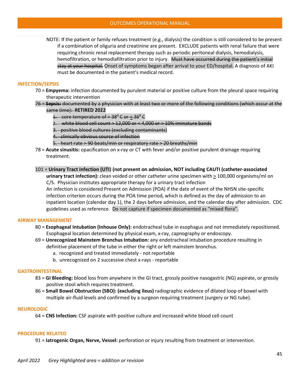NOTE: If the patient or family refuses treatment (e.g., dialysis) the condition is still considered to be present if a combination of oliguria and creatinine are present. EXCLUDE patients with renal failure that were requiring chronic renal replacement therapy such as periodic peritoneal dialysis, hemodialysis, hemofiltration, or hemodiafiltration prior to injury. Must have occurred during the patient's initial stay at your hospital. Onset of symptoms began after arrival to your ED/hospital. A diagnosis of AKI must be documented in the patient's medical record.

#### **INFECTION/SEPSIS**

- 70 = **Empyema:** infection documented by purulent material or positive culture from the pleural space requiring therapeutic intervention
- 76 = **Sepsis:** documented by a physician with at least two or more of the following conditions (which occur at the same time): **RETIRED 2022**
	- 1. core temperature of  $>$  38<sup> $\theta$ </sup> C or < 36 $\theta$ <sup>0</sup> C
	- 2. white blood cell count  $> 12,000$  or  $< 4,000$  or  $> 10\%$  immature bands
	- 3. positive blood cultures (excluding contaminants)
	- 4. clinically obvious source of infection
	- 5. heart rate > 90 beats/min or respiratory rate > 20 breaths/min
- 78 = **Acute sinusitis:** opacification on x-ray or CT with fever and/or positive purulent drainage requiring treatment.
- 101 = **Urinary Tract Infection (UTI) (not present on admission, NOT including CAUTI (catheter-associated**

**urinary tract infection):** clean voided or other catheter urine specimen with > 100,000 organisms/ml on C/S. Physician institutes appropriate therapy for a urinary tract infection

An infection is considered Present on Admission (POA) if the date of event of the NHSN site-specific infection criterion occurs during the POA time period, which is defined as the day of admission to an inpatient location (calendar day 1), the 2 days before admission, and the calendar day after admission. CDC guidelines used as reference. Do not capture if specimen documented as "mixed flora".

#### **AIRWAY MANAGEMENT**

- 80 = **Esophageal Intubation (Inhouse Only):** endotracheal tube in esophagus and not immediately repositioned. Esophageal location determined by physical exam, x-ray, capnography or endoscopy.
- 69 = **Unrecognized Mainstem Bronchus Intubation:** any endotracheal intubation procedure resulting in definitive placement of the tube in either the right or left mainstem bronchus.
	- a. recognized and treated immediately not reportable
	- b. unrecognized on 2 successive chest x-rays reportable

#### **GASTROINTESTINAL**

- 83 = **GI Bleeding:** blood loss from anywhere in the GI tract, grossly positive nasogastric (NG) aspirate, or grossly positive stool which requires treatment.
- 86 = **Small Bowel Obstruction (SBO): (excluding ileus)** radiographic evidence of dilated loop of bowel with multiple air-fluid levels and confirmed by a surgeon requiring treatment (surgery or NG tube).

#### **NEUROLOGIC**

64 = **CNS Infection:** CSF aspirate with positive culture and increased white blood cell count

#### **PROCEDURE RELATED**

91 = **Iatrogenic Organ, Nerve, Vessel:** perforation or injury resulting from treatment or intervention.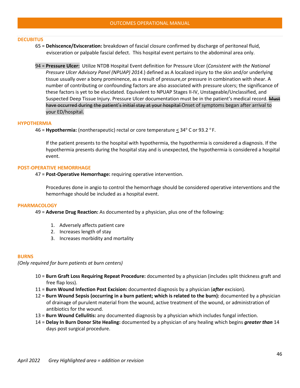#### **DECUBITUS**

- 65 = **Dehiscence/Evisceration:** breakdown of fascial closure confirmed by discharge of peritoneal fluid, evisceration or palpable fascial defect. This hospital event pertains to the abdominal area only.
- 94 = **Pressure Ulcer:** Utilize NTDB Hospital Event definition for Pressure Ulcer (*Consistent with the National Pressure Ulcer Advisory Panel (NPUAP) 2014.*) defined as A localized injury to the skin and/or underlying tissue usually over a bony prominence, as a result of pressure,or pressure in combination with shear. A number of contributing or confounding factors are also associated with pressure ulcers; the significance of these factors is yet to be elucidated. Equivalent to NPUAP Stages II-IV, Unstageable/Unclassified, and Suspected Deep Tissue Injury. Pressure Ulcer documentation must be in the patient's medical record. Must have occurred during the patient's initial stay at your hospital Onset of symptoms began after arrival to your ED/hospital.

#### **HYPOTHERMIA**

46 = **Hypothermia:** (nontherapeutic) rectal or core temperature <  $34^{\circ}$  C or 93.2 °F.

If the patient presents to the hospital with hypothermia, the hypothermia is considered a diagnosis. If the hypothermia presents during the hospital stay and is unexpected, the hypothermia is considered a hospital event.

#### **POST-OPERATIVE HEMORRHAGE**

47 = **Post-Operative Hemorrhage:** requiring operative intervention.

Procedures done in angio to control the hemorrhage should be considered operative interventions and the hemorrhage should be included as a hospital event.

#### **PHARMACOLOGY**

49 = **Adverse Drug Reaction:** As documented by a physician, plus one of the following:

- 1. Adversely affects patient care
- 2. Increases length of stay
- 3. Increases morbidity and mortality

#### **BURNS**

*(Only required for burn patients at burn centers)*

- 10 = **Burn Graft Loss Requiring Repeat Procedure:** documented by a physician (includes split thickness graft and free flap loss).
- 11 = **Burn Wound Infection Post Excision:** documented diagnosis by a physician (*after* excision).
- 12 = **Burn Wound Sepsis (occurring in a burn patient; which is related to the burn):** documented by a physician of drainage of purulent material from the wound, active treatment of the wound, or administration of antibiotics for the wound.
- 13 = **Burn Wound Cellulitis:** any documented diagnosis by a physician which includes fungal infection.
- 14 = **Delay In Burn Donor Site Healing:** documented by a physician of any healing which begins *greater than* 14 days post surgical procedure.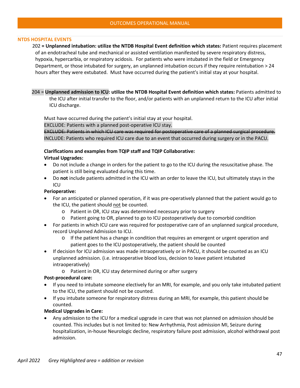### **NTDS HOSPITAL EVENTS**

202 **= Unplanned intubation: utilize the NTDB Hospital Event definition which states:** Patient requires placement of an endotracheal tube and mechanical or assisted ventilation manifested by severe respiratory distress, hypoxia, hypercarbia, or respiratory acidosis. For patients who were intubated in the field or Emergency Department, or those intubated for surgery, an unplanned intubation occurs if they require reintubation > 24 hours after they were extubated. Must have occurred during the patient's initial stay at your hospital.

204 = **Unplanned admission to ICU: utilize the NTDB Hospital Event definition which states:** Patients admitted to the ICU after initial transfer to the floor, and/or patients with an unplanned return to the ICU after initial ICU discharge.

Must have occurred during the patient's initial stay at your hospital.

EXCLUDE: Patients with a planned post-operative ICU stay.

EXCLUDE: Patients in which ICU care was required for postoperative care of a planned surgical procedure. INCLUDE: Patients who required ICU care due to an event that occurred during surgery or in the PACU.

### **Clarifications and examples from TQIP staff and TQIP Collaborative: Virtual Upgrades:**

- Do not include a change in orders for the patient to go to the ICU during the resuscitative phase. The patient is still being evaluated during this time.
- Do **not** include patients admitted in the ICU with an order to leave the ICU, but ultimately stays in the ICU

### **Perioperative:**

- For an anticipated or planned operation, if it was pre-operatively planned that the patient would go to the ICU, the patient should not be counted.
	- o Patient in OR, ICU stay was determined necessary prior to surgery
	- o Patient going to OR, planned to go to ICU postoperatively due to comorbid condition
- For patients in which ICU care was required for postoperative care of an unplanned surgical procedure, record Unplanned Admission to ICU.
	- $\circ$  If the patient has a change in condition that requires an emergent or urgent operation and patient goes to the ICU postoperatively, the patient should be counted
- If decision for ICU admission was made intraoperatively or in PACU, it should be counted as an ICU unplanned admission. (i.e. intraoperative blood loss, decision to leave patient intubated intraoperatively)
	- o Patient in OR, ICU stay determined during or after surgery

### **Post-procedural care:**

- If you need to intubate someone electively for an MRI, for example, and you only take intubated patient to the ICU, the patient should not be counted.
- If you intubate someone for respiratory distress during an MRI, for example, this patient should be counted.

### **Medical Upgrades in Care:**

• Any admission to the ICU for a medical upgrade in care that was not planned on admission should be counted. This includes but is not limited to: New Arrhythmia, Post admission MI, Seizure during hospitalization, in-house Neurologic decline, respiratory failure post admission, alcohol withdrawal post admission.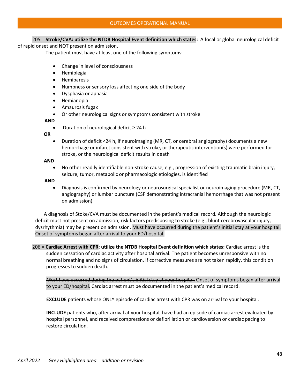## 205 = **Stroke/CVA: utilize the NTDB Hospital Event definition which states:** A focal or global neurological deficit

of rapid onset and NOT present on admission.

The patient must have at least one of the following symptoms:

- Change in level of consciousness
- Hemiplegia
- Hemiparesis
- Numbness or sensory loss affecting one side of the body
- Dysphasia or aphasia
- Hemianopia
- Amaurosis fugax
- Or other neurological signs or symptoms consistent with stroke

 **AND**

• Duration of neurological deficit ≥ 24 h

**OR** 

• Duration of deficit <24 h, if neuroimaging (MR, CT, or cerebral angiography) documents a new hemorrhage or infarct consistent with stroke, or therapeutic intervention(s) were performed for stroke, or the neurological deficit results in death

 **AND**

• No other readily identifiable non-stroke cause, e.g., progression of existing traumatic brain injury, seizure, tumor, metabolic or pharmacologic etiologies, is identified

**AND**

• Diagnosis is confirmed by neurology or neurosurgical specialist or neuroimaging procedure (MR, CT, angiography) or lumbar puncture (CSF demonstrating intracranial hemorrhage that was not present on admission).

 A diagnosis of Stoke/CVA must be documented in the patient's medical record. Although the neurologic deficit must not present on admission, risk factors predisposing to stroke (e.g., blunt cerebrovascular injury, dysrhythmia) may be present on admission. Must have occurred during the patient's initial stay at your hospital. Onset of symptoms began after arrival to your ED/hospital.

 206 = **Cardiac Arrest with CPR**: **utilize the NTDB Hospital Event definition which states:** Cardiac arrest is the sudden cessation of cardiac activity after hospital arrival. The patient becomes unresponsive with no normal breathing and no signs of circulation. If corrective measures are not taken rapidly, this condition progresses to sudden death.

Must have occurred during the patient's initial stay at your hospital. Onset of symptoms began after arrival to your ED/hospital. Cardiac arrest must be documented in the patient's medical record.

**EXCLUDE** patients whose ONLY episode of cardiac arrest with CPR was on arrival to your hospital.

**INCLUDE** patients who, after arrival at your hospital, have had an episode of cardiac arrest evaluated by hospital personnel, and received compressions or defibrillation or cardioversion or cardiac pacing to restore circulation.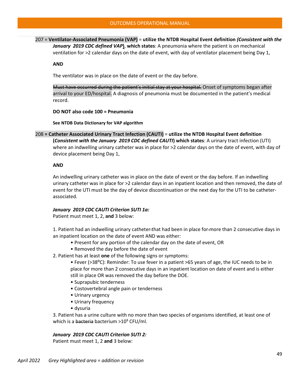207 = **Ventilator-Associated Pneumonia (VAP)** = **utilize the NTDB Hospital Event definition** *(Consistent with the January 2019 CDC defined VAP***)**, **which states**: A pneumonia where the patient is on mechanical ventilation for >2 calendar days on the date of event, with day of ventilator placement being Day 1,

#### **AND**

The ventilator was in place on the date of event or the day before.

Must have occurred during the patient's initial stay at your hospital. Onset of symptoms began after arrival to your ED/hospital. A diagnosis of pneumonia must be documented in the patient's medical record.

**DO NOT also code 100 = Pneumonia**

**See NTDB Data Dictionary for VAP algorithm**

208 **= Catheter Associated Urinary Tract Infection (CAUTI)** = **utilize the NTDB Hospital Event definition (***Consistent with the January 2019 CDC defined CAUTI***) which states**: A urinary tract infection (UTI) where an indwelling urinary catheter was in place for >2 calendar days on the date of event, with day of device placement being Day 1,

#### **AND**

An indwelling urinary catheter was in place on the date of event or the day before. If an indwelling urinary catheter was in place for >2 calendar days in an inpatient location and then removed, the date of event for the UTI must be the day of device discontinuation or the next day for the UTI to be catheterassociated.

#### *January 2019 CDC CAUTI Criterion SUTI 1a:*

Patient must meet 1, 2, **and** 3 below:

1. Patient had an indwelling urinary catheter that had been in place for more than 2 consecutive days in an inpatient location on the date of event AND was either:

- Present for any portion of the calendar day on the date of event, OR
- Removed the day before the date of event

2. Patient has at least **one** of the following signs or symptoms:

- Fever (>38<sup>o</sup>C): Reminder: To use fever in a patient >65 years of age, the IUC needs to be in place for more than 2 consecutive days in an inpatient location on date of event and is either still in place OR was removed the day before the DOE.
- Suprapubic tenderness
- Costovertebral angle pain or tenderness
- Urinary urgency
- Urinary frequency
- dysuria

3. Patient has a urine culture with no more than two species of organisms identified, at least one of which is a bacteria bacterium  $>10^5$  CFU/ml.

#### *January 2019 CDC CAUTI Criterion SUTI 2:*

Patient must meet 1, 2 **and** 3 below: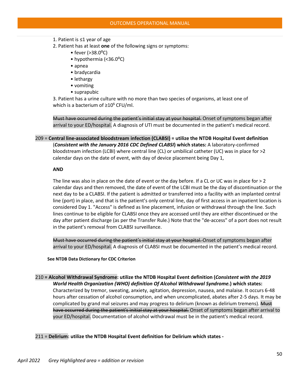- 1. Patient is ≤1 year of age
- 2. Patient has at least **one** of the following signs or symptoms:
	- fever  $(>38.0^{\circ}C)$
	- hypothermia (<36.0°C)
	- apnea
	- bradycardia
	- lethargy
	- vomiting
	- suprapubic

3. Patient has a urine culture with no more than two species of organisms, at least one of which is a bacterium of  $\geq 10^5$  CFU/ml.

Must have occurred during the patient's initial stay at your hospital. Onset of symptoms began after arrival to your ED/hospital. A diagnosis of UTI must be documented in the patient's medical record.

209 = **Central line-associated bloodstream infection (CLABSI) = utilize the NTDB Hospital Event definition** (*Consistent with the January 2016 CDC Defined CLABSI***) which states:** A laboratory-confirmed bloodstream infection (LCBI) where central line (CL) or umbilical catheter (UC) was in place for >2 calendar days on the date of event, with day of device placement being Day 1,

### **AND**

The line was also in place on the date of event or the day before. If a CL or UC was in place for > 2 calendar days and then removed, the date of event of the LCBI must be the day of discontinuation or the next day to be a CLABSI. If the patient is admitted or transferred into a facility with an implanted central line (port) in place, and that is the patient's only central line, day of first access in an inpatient location is considered Day 1. "Access" is defined as line placement, infusion or withdrawal through the line. Such lines continue to be eligible for CLABSI once they are accessed until they are either discontinued or the day after patient discharge (as per the Transfer Rule.) Note that the "de-access" of a port does not result in the patient's removal from CLABSI surveillance.

Must have occurred during the patient's initial stay at your hospital. Onset of symptoms began after arrival to your ED/hospital. A diagnosis of CLABSI must be documented in the patient's medical record.

 **See NTDB Data Dictionary for CDC Criterion**

### 210 **= Alcohol Withdrawal Syndrome: utilize the NTDB Hospital Event definition (***Consistent with the 2019 World Health Organization (WHO) definition Of Alcohol Withdrawal Syndrome.***) which states:**

Characterized by tremor, sweating, anxiety, agitation, depression, nausea, and malaise. It occurs 6-48 hours after cessation of alcohol consumption, and when uncomplicated, abates after 2-5 days. It may be complicated by grand mal seizures and may progress to delirium (known as delirium tremens). Must have occurred during the patient's initial stay at your hospital. Onset of symptoms began after arrival to your ED/hospital. Documentation of alcohol withdrawal must be in the patient's medical record.

#### 211 = **Delirium: utilize the NTDB Hospital Event definition for Delirium which states -**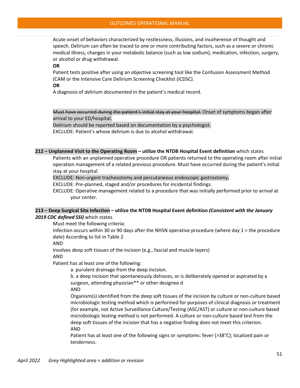#### OUTCOMES OPERATIONAL MANUAL

Acute onset of behaviors characterized by restlessness, illusions, and incoherence of thought and speech. Delirium can often be traced to one or more contributing factors, such as a severe or chronic medical illness, changes in your metabolic balance (such as low sodium), medication, infection, surgery, or alcohol or drug withdrawal.

#### **OR**

Patient tests positive after using an objective screening tool like the Confusion Assessment Method (CAM or the Intensive Care Delirium Screening Checklist (ICDSC).

**OR**

A diagnosis of delirium documented in the patient's medical record.

Must have occurred during the patient's initial stay at your hospital. Onset of symptoms began after arrival to your ED/hospital.

Delirium should be reported based on documentation by a psychologist. EXCLUDE: Patient's whose delirium is due to alcohol withdrawal.

#### **212 – Unplanned Visit to the Operating Room – utilize the NTDB Hospital Event definition** which states

Patients with an unplanned operative procedure OR patients returned to the operating room after initial operation management of a related previous procedure. Must have occurred during the patient's initial stay at your hospital.

EXCLUDE: Non-urgent tracheostomy and percutaneous endoscopic gastrostomy.

EXCLUDE: Pre-planned, staged and/or procedures for incidental findings.

EXCLUDE: Operative management related to a procedure that was initially performed prior to arrival at your center.

### **213 – Deep Surgical Site Infection – utilize the NTDB Hospital Event definition** *(Consistent with the January 2019 CDC defined SSI)* which states

Must meet the following criteria:

Infection occurs within 30 or 90 days after the NHSN operative procedure (where day 1 = the procedure date) According to list in Table 2

AND

involves deep soft tissues of the incision (e.g., fascial and muscle layers)

AND

Patient has at least one of the following:

a. purulent drainage from the deep incision.

b. a deep incision that spontaneously dehisces, or is deliberately opened or aspirated by a surgeon, attending physician\*\* or other designee d

AND

Organism(s) identified from the deep soft tissues of the incision by culture or non-culture based microbiologic testing method which is performed for purposes of clinical diagnosis or treatment (for example, not Active Surveillance Culture/Testing (ASC/AST) or culture or non-culture based microbiologic testing method is not performed. A culture or non-culture based test from the deep soft tissues of the incision that has a negative finding does not meet this criterion. AND

Patient has at least one of the following signs or symptoms: fever (>38°C); localized pain or tenderness.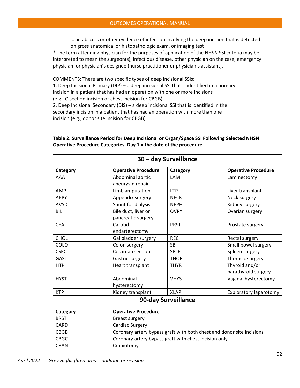c. an abscess or other evidence of infection involving the deep incision that is detected on gross anatomical or histopathologic exam, or imaging test

\* The term attending physician for the purposes of application of the NHSN SSI criteria may be interpreted to mean the surgeon(s), infectious disease, other physician on the case, emergency physician, or physician's designee (nurse practitioner or physician's assistant).

COMMENTS: There are two specific types of deep incisional SSIs:

1. Deep Incisional Primary (DIP) – a deep incisional SSI that is identified in a primary incision in a patient that has had an operation with one or more incisions

(e.g., C-section incision or chest incision for CBGB)

2. Deep Incisional Secondary (DIS) – a deep incisional SSI that is identified in the secondary incision in a patient that has had an operation with more than one incision (e.g., donor site incision for CBGB)

| 30 - day Surveillance |                                                                       |             |                               |  |  |
|-----------------------|-----------------------------------------------------------------------|-------------|-------------------------------|--|--|
| Category              | <b>Operative Procedure</b>                                            | Category    | <b>Operative Procedure</b>    |  |  |
| AAA                   | Abdominal aortic                                                      | LAM         | Laminectomy                   |  |  |
|                       | aneurysm repair                                                       |             |                               |  |  |
| AMP                   | Limb amputation                                                       | <b>LTP</b>  | Liver transplant              |  |  |
| <b>APPY</b>           | Appendix surgery                                                      | <b>NECK</b> | Neck surgery                  |  |  |
| <b>AVSD</b>           | Shunt for dialysis                                                    | <b>NEPH</b> | Kidney surgery                |  |  |
| BILI                  | Bile duct, liver or                                                   | <b>OVRY</b> | Ovarian surgery               |  |  |
|                       | pancreatic surgery                                                    |             |                               |  |  |
| <b>CEA</b>            | Carotid                                                               | <b>PRST</b> | Prostate surgery              |  |  |
|                       | endarterectomy                                                        |             |                               |  |  |
| <b>CHOL</b>           | Gallbladder surgery                                                   | <b>REC</b>  | Rectal surgery                |  |  |
| COLO                  | Colon surgery                                                         | <b>SB</b>   | Small bowel surgery           |  |  |
| <b>CSEC</b>           | Cesarean section                                                      | <b>SPLE</b> | Spleen surgery                |  |  |
| GAST                  | Gastric surgery                                                       | <b>THOR</b> | Thoracic surgery              |  |  |
| <b>HTP</b>            | Heart transplant                                                      | <b>THYR</b> | Thyroid and/or                |  |  |
|                       |                                                                       |             | parathyroid surgery           |  |  |
| <b>HYST</b>           | Abdominal                                                             | <b>VHYS</b> | Vaginal hysterectomy          |  |  |
|                       | hysterectomy                                                          |             |                               |  |  |
| <b>KTP</b>            | Kidney transplant                                                     | <b>XLAP</b> | <b>Exploratory laparotomy</b> |  |  |
| 90-day Surveillance   |                                                                       |             |                               |  |  |
| Category              | <b>Operative Procedure</b>                                            |             |                               |  |  |
| <b>BRST</b>           | <b>Breast surgery</b>                                                 |             |                               |  |  |
| <b>CARD</b>           | <b>Cardiac Surgery</b>                                                |             |                               |  |  |
| <b>CBGB</b>           | Coronary artery bypass graft with both chest and donor site incisions |             |                               |  |  |
| <b>CBGC</b>           | Coronary artery bypass graft with chest incision only                 |             |                               |  |  |
| <b>CRAN</b>           | Craniotomy                                                            |             |                               |  |  |

## **Table 2. Surveillance Period for Deep Incisional or Organ/Space SSI Following Selected NHSN Operative Procedure Categories. Day 1 = the date of the procedure**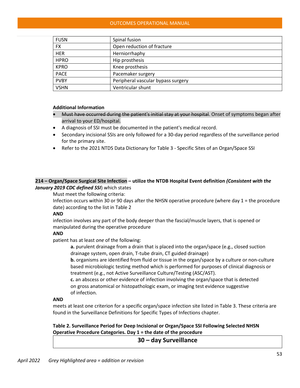### OUTCOMES OPERATIONAL MANUAL

| <b>FUSN</b> | Spinal fusion                      |
|-------------|------------------------------------|
| <b>FX</b>   | Open reduction of fracture         |
| <b>HER</b>  | Herniorrhaphy                      |
| <b>HPRO</b> | Hip prosthesis                     |
| <b>KPRO</b> | Knee prosthesis                    |
| <b>PACE</b> | Pacemaker surgery                  |
| <b>PVBY</b> | Peripheral vascular bypass surgery |
| <b>VSHN</b> | Ventricular shunt                  |

### **Additional Information**

- Must have occurred during the patient's initial stay at your hospital. Onset of symptoms began after arrival to your ED/hospital.
- A diagnosis of SSI must be documented in the patient's medical record.
- Secondary incisional SSIs are only followed for a 30-day period regardless of the surveillance period for the primary site.
- Refer to the 2021 NTDS Data Dictionary for Table 3 Specific Sites of an Organ/Space SSI

## **214 – Organ/Space Surgical Site Infection – utilize the NTDB Hospital Event definition** *(Consistent with the January 2019 CDC defined SSI*) which states

Must meet the following criteria:

Infection occurs within 30 or 90 days after the NHSN operative procedure (where day 1 = the procedure date) according to the list in Table 2

### **AND**

infection involves any part of the body deeper than the fascial/muscle layers, that is opened or manipulated during the operative procedure

### **AND**

patient has at least *one* of the following:

**a.** purulent drainage from a drain that is placed into the organ/space (e.g., closed suction drainage system, open drain, T-tube drain, CT guided drainage)

**b.** organisms are identified from fluid or tissue in the organ/space by a culture or non-culture based microbiologic testing method which is performed for purposes of clinical diagnosis or treatment (e.g., not Active Surveillance Culture/Testing (ASC/AST).

**c.** an abscess or other evidence of infection involving the organ/space that is detected on gross anatomical or histopathologic exam, or imaging test evidence suggestive of infection.

### **AND**

meets at least one criterion for a specific organ/space infection site listed in Table 3. These criteria are found in the Surveillance Definitions for Specific Types of Infections chapter.

## **Table 2. Surveillance Period for Deep Incisional or Organ/Space SSI Following Selected NHSN Operative Procedure Categories. Day 1 = the date of the procedure**

## **30 – day Surveillance**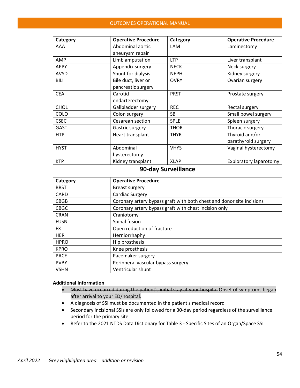| Category            | <b>Operative Procedure</b>                                            | Category    | <b>Operative Procedure</b>    |  |
|---------------------|-----------------------------------------------------------------------|-------------|-------------------------------|--|
| AAA                 | Abdominal aortic                                                      | LAM         | Laminectomy                   |  |
|                     | aneurysm repair                                                       |             |                               |  |
| AMP                 | Limb amputation                                                       | <b>LTP</b>  | Liver transplant              |  |
| <b>APPY</b>         | Appendix surgery                                                      | <b>NECK</b> | Neck surgery                  |  |
| <b>AVSD</b>         | Shunt for dialysis                                                    | <b>NEPH</b> | Kidney surgery                |  |
| <b>BILI</b>         | Bile duct, liver or                                                   | <b>OVRY</b> | Ovarian surgery               |  |
|                     | pancreatic surgery                                                    |             |                               |  |
| <b>CEA</b>          | Carotid                                                               | <b>PRST</b> | Prostate surgery              |  |
|                     | endarterectomy                                                        |             |                               |  |
| <b>CHOL</b>         | Gallbladder surgery                                                   | <b>REC</b>  | Rectal surgery                |  |
| COLO                | Colon surgery                                                         | <b>SB</b>   | Small bowel surgery           |  |
| <b>CSEC</b>         | Cesarean section                                                      | <b>SPLE</b> | Spleen surgery                |  |
| GAST                | Gastric surgery                                                       | <b>THOR</b> | Thoracic surgery              |  |
| <b>HTP</b>          | Heart transplant                                                      | <b>THYR</b> | Thyroid and/or                |  |
|                     |                                                                       |             | parathyroid surgery           |  |
| <b>HYST</b>         | Abdominal                                                             | <b>VHYS</b> | Vaginal hysterectomy          |  |
|                     | hysterectomy                                                          |             |                               |  |
| <b>KTP</b>          | Kidney transplant                                                     | <b>XLAP</b> | <b>Exploratory laparotomy</b> |  |
| 90-day Surveillance |                                                                       |             |                               |  |
| Category            | <b>Operative Procedure</b>                                            |             |                               |  |
| <b>BRST</b>         | <b>Breast surgery</b>                                                 |             |                               |  |
| <b>CARD</b>         | <b>Cardiac Surgery</b>                                                |             |                               |  |
| <b>CBGB</b>         | Coronary artery bypass graft with both chest and donor site incisions |             |                               |  |
| <b>CBGC</b>         | Coronary artery bypass graft with chest incision only                 |             |                               |  |
| <b>CRAN</b>         | Craniotomy                                                            |             |                               |  |
| <b>FUSN</b>         | Spinal fusion                                                         |             |                               |  |
| <b>FX</b>           | Open reduction of fracture                                            |             |                               |  |
| <b>HER</b>          | Herniorrhaphy                                                         |             |                               |  |
| <b>HPRO</b>         | Hip prosthesis                                                        |             |                               |  |
| <b>KPRO</b>         | Knee prosthesis                                                       |             |                               |  |
| <b>PACE</b>         | Pacemaker surgery                                                     |             |                               |  |
| <b>PVBY</b>         | Peripheral vascular bypass surgery                                    |             |                               |  |
| <b>VSHN</b>         | Ventricular shunt                                                     |             |                               |  |

#### **Additional Information**

- Must have occurred during the patient's initial stay at your hospital Onset of symptoms began after arrival to your ED/hospital.
- A diagnosis of SSI must be documented in the patient's medical record
- Secondary incisional SSIs are only followed for a 30-day period regardless of the surveillance period for the primary site
- Refer to the 2021 NTDS Data Dictionary for Table 3 Specific Sites of an Organ/Space SSI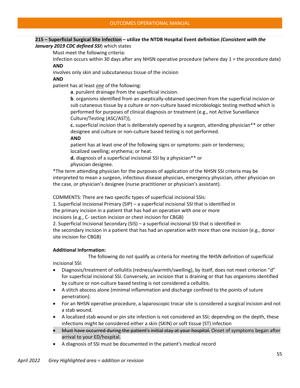### **215 – Superficial Surgical Site Infection – utilize the NTDB Hospital Event definition** *(Consistent with the January 2019 CDC defined SSI*) which states

Must meet the following criteria:

Infection occurs within 30 days after any NHSN operative procedure (where day 1 = the procedure date) **AND**

involves only skin and subcutaneous tissue of the incision

### **AND**

patient has at least *one* of the following:

**a**. purulent drainage from the superficial incision.

**b**. organisms identified from an aseptically-obtained specimen from the superficial incision or sub cutaneous tissue by a culture or non-culture based microbiologic testing method which is performed for purposes of clinical diagnosis or treatment (e.g., not Active Surveillance Culture/Testing (ASC/AST)),

**c.** superficial incision that is deliberately opened by a surgeon, attending physician\*\* or other designee and culture or non-culture based testing is not performed.

**AND**

patient has at least one of the following signs or symptoms: pain or tenderness; localized swelling; erythema; or heat.

**d.** diagnosis of a superficial incisional SSI by a physician\*\* or physician designee.

\*The term attending physician for the purposes of application of the NHSN SSI criteria may be interpreted to mean a surgeon, infectious disease physician, emergency physician, other physician on the case, or physician's designee (nurse practitioner or physician's assistant).

COMMENTS: There are two specific types of superficial incisional SSIs:

1. Superficial Incisional Primary (SIP) – a superficial incisional SSI that is identified in

the primary incision in a patient that has had an operation with one or more

incisions (e.g., C- section incision or chest incision for CBGB)

2. Superficial Incisional Secondary (SIS) – a superficial incisional SSI that is identified in

the secondary incision in a patient that has had an operation with more than one incision (e.g., donor site incision for CBGB)

### **Additional Information:**

 The following do not qualify as criteria for meeting the NHSN definition of superficial incisional SSI:

- Diagnosis/treatment of cellulitis (redness/warmth/swelling), by itself, does not meet criterion "d" for superficial incisional SSI. Conversely, an incision that is draining or that has organisms identified by culture or non-culture based testing is not considered a cellulitis.
- A stitch abscess alone (minimal inflammation and discharge confined to the points of suture penetration).
- For an NHSN operative procedure, a laparoscopic trocar site is considered a surgical incision and not a stab wound.
- A localized stab wound or pin site infection is not considered an SSI; depending on the depth, these infections might be considered either a skin (SKIN) or soft tissue (ST) infection
- Must have occurred during the patient's initial stay at your hospital. Onset of symptoms began after arrival to your ED/hospital.
- A diagnosis of SSI must be documented in the patient's medical record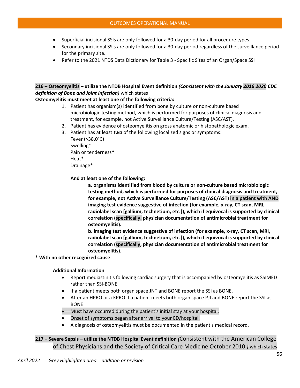- Superficial incisional SSIs are only followed for a 30-day period for all procedure types.
- Secondary incisional SSIs are only followed for a 30-day period regardless of the surveillance period for the primary site.
- Refer to the 2021 NTDS Data Dictionary for Table 3 Specific Sites of an Organ/Space SSI

## **216 – Osteomyelitis – utilize the NTDB Hospital Event definition** *(Consistent with the January 2016 2020 CDC definition of Bone and Joint Infection)* which states

## **Osteomyelitis must meet at least one of the following criteria:**

- 1. Patient has organism(s) identified from bone by culture or non-culture based microbiologic testing method, which is performed for purposes of clinical diagnosis and treatment, for example, not Active Surveillance Culture/Testing (ASC/AST).
- 2. Patient has evidence of osteomyelitis on gross anatomic or histopathologic exam.
- 3. Patient has at least *two* of the following localized signs or symptoms:

Fever (>38.0°C) Swelling\* Pain or tenderness\* Heat\* Drainage\*

**And at least one of the following:**

**a. organisms identified from blood by culture or non-culture based microbiologic testing method, which is performed for purposes of clinical diagnosis and treatment, for example, not Active Surveillance Culture/Testing (ASC/AST) in a patient with AND imaging test evidence suggestive of infection (for example, x-ray, CT scan, MRI, radiolabel scan [gallium, technetium, etc.]), which if equivocal is supported by clinical correlation (specifically, physician documentation of antimicrobial treatment for osteomyelitis).**

**b. imaging test evidence suggestive of infection (for example, x-ray, CT scan, MRI, radiolabel scan [gallium, technetium, etc.]), which if equivocal is supported by clinical correlation (specifically, physician documentation of antimicrobial treatment for osteomyelitis).**

### **\* With no other recognized cause**

### **Additional Information**

- Report mediastinitis following cardiac surgery that is accompanied by osteomyelitis as SSIMED rather than SSI-BONE.
- If a patient meets both organ space JNT and BONE report the SSI as BONE.
- After an HPRO or a KPRO if a patient meets both organ space PJI and BONE report the SSI as BONE
- Must have occurred during the patient's initial stay at your hospital.
- Onset of symptoms began after arrival to your ED/hospital.
- A diagnosis of osteomyelitis must be documented in the patient's medical record.

**217 – Severe Sepsis – utilize the NTDB Hospital Event definition** *(*Consistent with the American College of Chest Physicians and the Society of Critical Care Medicine October 2010.*)* which states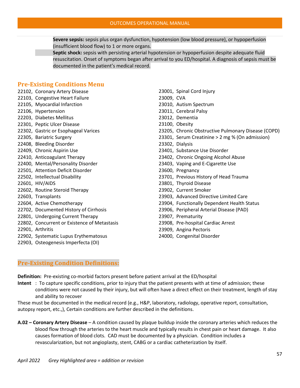**Severe sepsis:** sepsis plus organ dysfunction, hypotension (low blood pressure), or hypoperfusion (insufficient blood flow) to 1 or more organs.

**Septic shock:** sepsis with persisting arterial hypotension or hypoperfusion despite adequate fluid resuscitation. Onset of symptoms began after arrival to you ED/hospital. A diagnosis of sepsis must be documented in the patient's medical record.

# **Pre-Existing Conditions Menu**

- 22102, Coronary Artery Disease
- 22103, Congestive Heart Failure
- 22105, Myocardial Infarction
- 22106, Hypertension
- 22203, Diabetes Mellitus
- 22301, Peptic Ulcer Disease
- 22302, Gastric or Esophageal Varices
- 22305, Bariatric Surgery
- 22408, Bleeding Disorder
- 22409, Chronic Aspirin Use
- 22410, Anticoagulant Therapy
- 22400, Mental/Personality Disorder
- 22501, Attention Deficit Disorder
- 22502, Intellectual Disability
- 22601, HIV/AIDS
- 22602, Routine Steroid Therapy
- 22603, Transplants
- 22604, Active Chemotherapy
- 22702, Documented History of Cirrhosis
- 22801, Undergoing Current Therapy
- 22802, Concurrent or Existence of Metastasis
- 22901, Arthritis
- 22902, Systematic Lupus Erythematosus
- 22903, Osteogenesis Imperfecta (OI)

23001, Spinal Cord Injury 23009, CVA 23010, Autism Spectrum 23011, Cerebral Palsy 23012, Dementia 23100, Obesity 23205, Chronic Obstructive Pulmonary Disease (COPD) 23301, Serum Creatinine > 2 mg % (On admission) 23302, Dialysis 23401, Substance Use Disorder 23402, Chronic Ongoing Alcohol Abuse 23403, Vaping and E-Cigarette Use 23600, Pregnancy 23701, Previous History of Head Trauma 23801, Thyroid Disease 23902, Current Smoker 23903, Advanced Directive Limited Care 23904, Functionally Dependent Health Status 23906, Peripheral Arterial Disease (PAD) 23907, Prematurity 23908, Pre-hospital Cardiac Arrest 23909, Angina Pectoris 24000, Congenital Disorder

## **Pre-Existing Condition Definitions:**

**Definition:** Pre-existing co-morbid factors present before patient arrival at the ED/hospital

**Intent** : To capture specific conditions, prior to injury that the patient presents with at time of admission; these conditions were not caused by their injury, but will often have a direct effect on their treatment, length of stay and ability to recover

These must be documented in the medical record (e.g., H&P, laboratory, radiology, operative report, consultation, autopsy report, etc.,), Certain conditions are further described in the definitions.

**A.02 – Coronary Artery Disease** – A condition caused by plaque buildup inside the coronary arteries which reduces the blood flow through the arteries to the heart muscle and typically results in chest pain or heart damage. It also causes formation of blood clots. CAD must be documented by a physician. Condition includes a revascularization, but not angioplasty, stent, CABG or a cardiac catheterization by itself.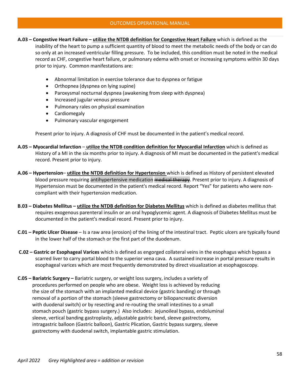- **A.03 Congestive Heart Failure utilize the NTDB definition for Congestive Heart Failure** which is defined as the inability of the heart to pump a sufficient quantity of blood to meet the metabolic needs of the body or can do so only at an increased ventricular filling pressure. To be included, this condition must be noted in the medical record as CHF, congestive heart failure, or pulmonary edema with onset or increasing symptoms within 30 days prior to injury. Common manifestations are:
	- Abnormal limitation in exercise tolerance due to dyspnea or fatigue
	- Orthopnea (dyspnea on lying supine)
	- Paroxysmal nocturnal dyspnea (awakening from sleep with dyspnea)
	- Increased jugular venous pressure
	- Pulmonary rales on physical examination
	- Cardiomegaly
	- Pulmonary vascular engorgement

Present prior to injury. A diagnosis of CHF must be documented in the patient's medical record.

- **A.05 Myocardial Infarction** – **utilize the NTDB condition definition for Myocardial Infarction** which is defined as History of a MI in the six months prior to injury. A diagnosis of MI must be documented in the patient's medical record. Present prior to injury.
- **A.06 Hypertension utilize the NTDB definition for Hypertension** which is defined as History of persistent elevated blood pressure requiring antihypertensive medication medical therapy. Present prior to injury. A diagnosis of Hypertension must be documented in the patient's medical record. Report "Yes" for patients who were noncompliant with their hypertension medication.
- **B.03 Diabetes Mellitus utilize the NTDB definition for Diabetes Mellitus** which is defined as diabetes mellitus that requires exogenous parenteral insulin or an oral hypoglycemic agent. A diagnosis of Diabetes Mellitus must be documented in the patient's medical record. Present prior to injury.
- **C.01 Peptic Ulcer Disease** Is a raw area (erosion) of the lining of the intestinal tract. Peptic ulcers are typically found in the lower half of the stomach or the first part of the duodenum.
- **C.02 Gastric or Esophageal Varices** which is defined as engorged collateral veins in the esophagus which bypass a scarred liver to carry portal blood to the superior vena cava. A sustained increase in portal pressure results in esophageal varices which are most frequently demonstrated by direct visualization at esophagoscopy.
- **C.05 Bariatric Surgery** Bariatric surgery, or weight loss surgery, includes a variety of procedures performed on people who are obese. Weight loss is achieved by reducing the size of the stomach with an implanted medical device (gastric banding) or through removal of a portion of the stomach (sleeve gastrectomy or biliopancreatic diversion with duodenal switch) or by resecting and re-routing the small intestines to a small stomach pouch (gastric bypass surgery.) Also includes: Jejunoileal bypass, endoluminal sleeve, vertical banding gastroplasty, adjustable gastric band, sleeve gastrectomy, intragastric balloon (Gastric balloon), Gastric Plication, Gastric bypass surgery, sleeve gastrectomy with duodenal switch, implantable gastric stimulation.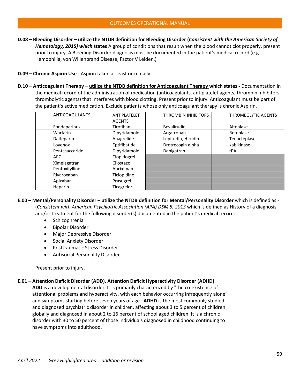- **D.08 Bleeding Disorder utilize the NTDB definition for Bleeding Disorder (***Consistent with the American Society of Hematology, 2015) which* **states** A group of conditions that result when the blood cannot clot properly, present prior to injury. A Bleeding Disorder diagnosis must be documented in the patient's medical record (e.g. Hemophilia, von Willenbrand Disease, Factor V Leiden.)
- **D.09 Chronic Aspirin Use** Aspirin taken at least once daily.
- **D.10 Anticoagulant Therapy utilize the NTDB definition for Anticoagulant Therapy which states** Documentation in the medical record of the administration of medication (anticoagulants, antiplatelet agents, thrombin inhibitors, thrombolytic agents) that interferes with blood clotting. Present prior to injury. Anticoagulant must be part of the patient's active medication. Exclude patients whose only anticoagulant therapy is chronic Aspirin.

| <b>ANTICOAGULANTS</b> | ANTIPLATELET  | <b>THROMBIN INHIBITORS</b> | <b>THROMBOLYTIC AGENTS</b> |
|-----------------------|---------------|----------------------------|----------------------------|
|                       | <b>AGENTS</b> |                            |                            |
| Fondaparinux          | Tirofiban     | Bevalirudin                | Alteplase                  |
| Warfarin              | Dipyridamole  | Argatroban                 | Reteplase                  |
| Dalteparin            | Anagrelide    | Lepirudin, Hirudin         | Tenacteplase               |
| Lovenox               | Eptifibatide  | Drotrecogin alpha          | kabikinase                 |
| Pentasaccaride        | Dipyridamole  | Dabigatran                 | tPA                        |
| <b>APC</b>            | Clopidogrel   |                            |                            |
| Ximelagatran          | Cilostazol    |                            |                            |
| Pentoxifylline        | Abciximab     |                            |                            |
| Rivaroxaban           | Ticlopidine   |                            |                            |
| Apixaban              | Prasugrel     |                            |                            |
| Heparin               | Ticagrelor    |                            |                            |

**E.00 – Mental/Personality Disorder** – **utilize the NTDB definition for Mental/Personality Disorder** which is defined as - (*Consistent with American Psychiatric Association (APA) DSM 5, 2013* which is defined as History of a diagnosis and/or treatment for the following disorder(s) documented in the patient's medical record:

- Schizophrenia
- Bipolar Disorder
- Major Depressive Disorder
- Social Anxiety Disorder
- Posttraumatic Stress Disorder
- Antisocial Personality Disorder

Present prior to injury.

#### **E.01 – Attention Deficit Disorder (ADD), Attention Deficit Hyperactivity Disorder (ADHD)**

 **ADD** is a developmental disorder. It is primarily characterized by "the co-existence of attentional problems and hyperactivity, with each behavior occurring infrequently alone" and symptoms starting before seven years of age. **ADHD** is the most commonly studied and diagnosed psychiatric disorder in children, affecting about 3 to 5 percent of children globally and diagnosed in about 2 to 16 percent of school aged children. It is a chronic disorder with 30 to 50 percent of those individuals diagnosed in childhood continuing to have symptoms into adulthood.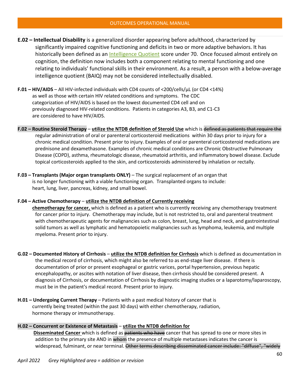- **E.02 Intellectual Disability** is a generalized disorder appearing before adulthood, characterized by significantly impaired cognitive functioning and deficits in two or more adaptive behaviors. It has historically been defined as a[n Intelligence Quotient](http://en.wikipedia.org/wiki/Intelligence_Quotient) score under 70. Once focused almost entirely on cognition, the definition now includes both a component relating to mental functioning and one relating to individuals' functional skills in their environment. As a result, a person with a below-average intelligence quotient (BAIQ) may not be considered intellectually disabled.
- **F.01 HIV/AIDS** All HIV-infected individuals with CD4 counts of <200/cells/µL (or CD4 <14%) as well as those with certain HIV related conditions and symptoms. The CDC categorization of HIV/AIDS is based on the lowest documented CD4 cell and on previously diagnosed HIV-related conditions. Patients in categories A3, B3, and C1-C3 are considered to have HIV/AIDS.
- **F.02 Routine Steroid Therapy utilize the NTDB definition of Steroid Use** which is defined as patients that require the regular administration of oral or parenteral corticosteroid medications within 30 days prior to injury for a chronic medical condition. Present prior to injury. Examples of oral or parenteral corticosteroid medications are prednisone and dexamethasone. Examples of chronic medical conditions are Chronic Obstructive Pulmonary Disease (COPD), asthma, rheumatologic disease, rheumatoid arthritis, and inflammatory bowel disease. Exclude topical corticosteroids applied to the skin, and corticosteroids administered by inhalation or rectally.
- **F.03 Transplants (Major organ transplants ONLY)** The surgical replacement of an organ that is no longer functioning with a viable functioning organ. Transplanted organs to include: heart, lung, liver, pancreas, kidney, and small bowel.

### **F.04 – Active Chemotherapy** – **utilize the NTDB definition of Currently receiving**

 **chemotherapy for cancer,** which is defined as a patient who is currently receiving any chemotherapy treatment for cancer prior to injury. Chemotherapy may include, but is not restricted to, oral and parenteral treatment with chemotherapeutic agents for malignancies such as colon, breast, lung, head and neck, and gastrointestinal solid tumors as well as lymphatic and hematopoietic malignancies such as lymphoma, leukemia, and multiple myeloma. Present prior to injury.

- **G.02 Documented History of Cirrhosis utilize the NTDB definition for Cirrhosis** which is defined as documentation in the medical record of cirrhosis, which might also be referred to as end-stage liver disease. If there is documentation of prior or present esophageal or gastric varices, portal hypertension, previous hepatic encephalopathy, or ascites with notation of liver disease, then cirrhosis should be considered present. A diagnosis of Cirrhosis, or documentation of Cirrhosis by diagnostic imaging studies or a laparotomy/laparoscopy, must be in the patient's medical record. Present prior to injury.
- **H.01 Undergoing Current Therapy** Patients with a past medical history of cancer that is currently being treated (within the past 30 days) with either chemotherapy, radiation, hormone therapy or immunotherapy.

### **H.02 – Concurrent or Existence of Metastasis** – **utilize the NTDB definition for Disseminated Cancer** which is defined as patients who have cancer that has spread to one or more sites in addition to the primary site AND in whom the presence of multiple metastases indicates the cancer is widespread, fulminant, or near terminal. Other terms describing disseminated cancer include: "diffuse", "widely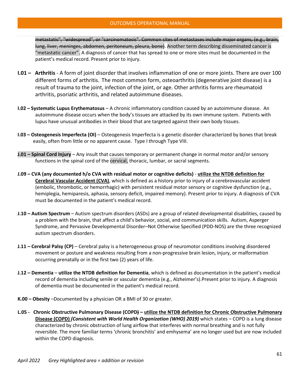metastatic", "widespread", or "carcinomatosis". Common sites of metastases include major organs, (e.g., brain, lung, liver, meninges, abdomen, peritoneum, pleura, bone). Another term describing disseminated cancer is "metastatic cancer". A diagnosis of cancer that has spread to one or more sites must be documented in the patient's medical record. Present prior to injury.

- **I.01 – Arthritis** A form of joint disorder that involves inflammation of one or more joints. There are over 100 different forms of arthritis. The most common form, osteoarthritis (degenerative joint disease) is a result of trauma to the joint, infection of the joint, or age. Other arthritis forms are rheumatoid arthritis, psoriatic arthritis, and related autoimmune diseases.
- **I.02 Systematic Lupus Erythematosus** A chronic inflammatory condition caused by an autoimmune disease. An autoimmune disease occurs when the body's tissues are attacked by its own immune system. Patients with lupus have unusual antibodies in their blood that are targeted against their own body tissues.
- **I.03 Osteogenesis Imperfecta (OI)** Osteogenesis Imperfecta is a genetic disorder characterized by bones that break easily, often from little or no apparent cause. Type I through Type VIII.
- **J.01 Spinal Cord Injury** Any insult that causes temporary or permanent change in normal motor and/or sensory functions in the spinal cord of the cervical, thoracic, lumbar, or sacral segments.
- **J.09 CVA (any documented h/o CVA with residual motor or cognitive deficits) utilize the NTDB definition for Cerebral Vascular Accident (CVA)**, which is defined as a history prior to injury of a cerebrovascular accident (embolic, thrombotic, or hemorrhagic) with persistent residual motor sensory or cognitive dysfunction (e.g., hemiplegia, hemiparesis, aphasia, sensory deficit, impaired memory). Present prior to injury. A diagnosis of CVA must be documented in the patient's medical record.
- **J.10 Autism Spectrum** Autism spectrum disorders (ASDs) are a group of related developmental disabilities, caused by a problem with the brain, that affect a child's behavior, social, and communication skills. Autism, Asperger Syndrome, and Pervasive Developmental Disorder–Not Otherwise Specified (PDD-NOS) are the three recognized autism spectrum disorders.
- **J.11 Cerebral Palsy (CP)** Cerebral palsy is a heterogeneous group of neuromotor conditions involving disordered movement or posture and weakness resulting from a non-progressive brain lesion, injury, or malformation occurring prenatally or in the first two (2) years of life.
- **J.12 Dementia utilize the NTDB definition for Dementia**, which is defined as documentation in the patient's medical record of dementia including senile or vascular dementia (e.g., Alzheimer's).Present prior to injury. A diagnosis of dementia must be documented in the patient's medical record.
- **K.00 Obesity** –Documented by a physician OR a BMI of 30 or greater.
- **L.05 Chronic Obstructive Pulmonary Disease (COPD) utilize the NTDB definition for Chronic Obstructive Pulmonary Disease (COPD)** *(Consistent with World Health Organization (WHO) 2019)* which states – COPD is a lung disease characterized by chronic obstruction of lung airflow that interferes with normal breathing and is not fully reversible. The more familiar terms 'chronic bronchitis' and emhysema' are no longer used but are now included within the COPD diagnosis.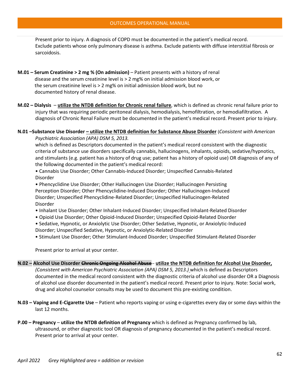Present prior to injury. A diagnosis of COPD must be documented in the patient's medical record. Exclude patients whose only pulmonary disease is asthma. Exclude patients with diffuse interstitial fibrosis or sarcoidosis.

- **M.01 Serum Creatinine > 2 mg % (On admission)** Patient presents with a history of renal disease and the serum creatinine level is > 2 mg% on initial admission blood work, or the serum creatinine level is > 2 mg% on initial admission blood work, but no documented history of renal disease.
- **M.02 Dialysis utilize the NTDB definition for Chronic renal failure**, which is defined as chronic renal failure prior to injury that was requiring periodic peritoneal dialysis, hemodialysis, hemofiltration, or hemodiafiltration. A diagnosis of Chronic Renal Failure must be documented in the patient's medical record. Present prior to injury.

### **N.01 –Substance Use Disorder – utilize the NTDB definition for Substance Abuse Disorder** (*Consistent with American Psychiatric Association (APA) DSM 5, 2013.*

which is defined as Descriptors documented in the patient's medical record consistent with the diagnostic criteria of substance use disorders specifically cannabis, hallucinogens, inhalants, opioids, sedative/hypnotics, and stimulants (e.g. patient has a history of drug use; patient has a history of opioid use) OR diagnosis of any of the following documented in the patient's medical record:

• Cannabis Use Disorder; Other Cannabis-Induced Disorder; Unspecified Cannabis-Related Disorder

• Phencyclidine Use Disorder; Other Hallucinogen Use Disorder; Hallucinogen Persisting Perception Disorder; Other Phencyclidine-Induced Disorder; Other Hallucinogen-Induced Disorder; Unspecified Phencyclidine-Related Disorder; Unspecified Hallucinogen-Related Disorder

- Inhalant Use Disorder; Other Inhalant-Induced Disorder; Unspecified Inhalant-Related Disorder
- Opioid Use Disorder; Other Opioid-Induced Disorder; Unspecified Opioid-Related Disorder
- Sedative, Hypnotic, or Anxiolytic Use Disorder; Other Sedative, Hypnotic, or Anxiolytic-Induced Disorder; Unspecified Sedative, Hypnotic, or Anxiolytic-Related Disorder
- Stimulant Use Disorder; Other Stimulant-Induced Disorder; Unspecified Stimulant-Related Disorder

Present prior to arrival at your center.

### **N.02 – Alcohol Use Disorder Chronic Ongoing Alcohol Abuse** - **utilize the NTDB definition for Alcohol Use Disorder,**

*(Consistent with American Psychiatric Association (APA) DSM 5, 2013.)* which is defined as Descriptors documented in the medical record consistent with the diagnostic criteria of alcohol use disorder OR a Diagnosis of alcohol use disorder documented in the patient's medical record. Present prior to injury. Note: Social work, drug and alcohol counselor consults may be used to document this pre-existing condition.

- **N.03 Vaping and E-Cigarette Use** Patient who reports vaping or using e-cigarettes every day or some days within the last 12 months.
- **P.00 Pregnancy utilize the NTDB definition of Pregnancy** which is defined as Pregnancy confirmed by lab, ultrasound, or other diagnostic tool OR diagnosis of pregnancy documented in the patient's medical record. Present prior to arrival at your center.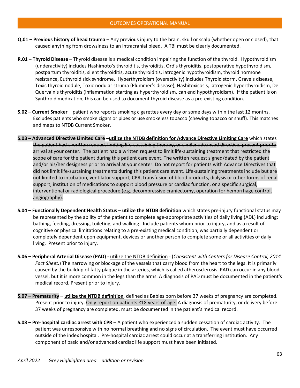- **Q.01 Previous history of head trauma** Any previous injury to the brain, skull or scalp (whether open or closed), that caused anything from drowsiness to an intracranial bleed. A TBI must be clearly documented.
- **R.01 Thyroid Disease** Thyroid disease is a medical condition impairing the function of the thyroid. Hypothyroidism (underactivity) includes Hashimoto's thyroiditis, thyroiditis, Ord's thyroiditis, postoperative hypothyroidism, postpartum thyroiditis, silent thyroiditis, acute thyroiditis, iatrogenic hypothyroidism, thyroid hormone resistance, Euthyroid sick syndrome. Hyperthyroidism (overactivity) includes Thyroid storm, Grave's disease, Toxic thyroid nodule, Toxic nodular struma (Plummer's disease), Hashitoxicosis, Iatrogenic hyperthyroidism, De Quervain's thyroiditis (inflammation starting as hyperthyroidism, can end hypothyroidism). If the patient is on Synthroid medication, this can be used to document thyroid disease as a pre-existing condition.
- **S.02 Current Smoker** patient who reports smoking cigarettes every day or some days within the last 12 months. Excludes patients who smoke cigars or pipes or use smokeless tobacco (chewing tobacco or snuff). This matches and maps to NTDB Current Smoker.
- **S.03 Advanced Directive Limited Care** –**utilize the NTDB definition for Advance Directive Limiting Care** which states the patient had a written request limiting life-sustaining therapy, or similar advanced directive, present prior to arrival at your center. The patient had a written request to limit life-sustaining treatment that restricted the scope of care for the patient during this patient care event. The written request signed/dated by the patient and/or his/her designess prior to arrival at your center. Do not report for patients with Advance Directives that did not limit life-sustaining treatments during this patient care event. Life-sustaining treatments include but are not limited to intubation, ventilator support, CPR, transfusion of blood products, dialysis or other forms of renal support, institution of medications to support blood pressure or cardiac function, or a specific surgical, interventional or radiological procedure (e.g. decompressive craniectomy, operation for hemorrhage control, angiography).
- **S.04 Functionally Dependent Health Status utilize the NTDB definition** which states pre-injury functional status may be represented by the ability of the patient to complete age-appropriate activities of daily living (ADL) including: bathing, feeding, dressing, toileting, and walking. Include patients whom prior to injury, and as a result of cognitive or physical limitations relating to a pre-existing medical condition, was partially dependent or completely dependent upon equipment, devices or another person to complete some or all activities of daily living. Present prior to injury.
- **S.06 Peripheral Arterial Disease (PAD)** utilize the NTDB definition (*Consistent with Centers for Disease Control, 2014 Fact Sheet.*) The narrowing or blockage of the vessels that carry blood from the heart to the legs. It is primarily caused by the buildup of fatty plaque in the arteries, which is called atherosclerosis. PAD can occur in any blood vessel, but it is more common in the legs than the arms. A diagnosis of PAD must be documented in the patient's medical record. Present prior to injury.
- **S.07 Prematurity utilize the NTDB definition**, defined as Babies born before 37 weeks of pregnancy are completed. Present prior to injury. Only report on patients ≤18 years-of-age. A diagnosis of prematurity, or delivery before 37 weeks of pregnancy are completed, must be documented in the patient's medical record.
- **S.08 Pre-hospital cardiac arrest with CPR** A patient who experienced a sudden cessation of cardiac activity. The patient was unresponsive with no normal breathing and no signs of circulation. The event must have occurred outside of the index hospital. Pre-hospital cardiac arrest could occur at a transferring institution. Any component of basic and/or advanced cardiac life support must have been initiated.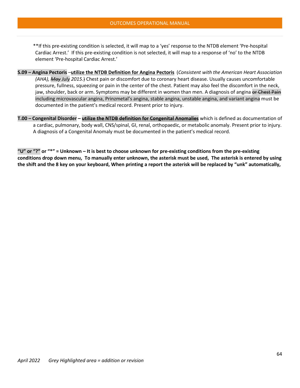\*\*If this pre-existing condition is selected, it will map to a 'yes' response to the NTDB element 'Pre-hospital Cardiac Arrest.' If this pre-existing condition is not selected, it will map to a response of 'no' to the NTDB element 'Pre-hospital Cardiac Arrest.'

- **S.09 Angina Pectoris** –**utilize the NTDB Definition for Angina Pectoris** (*Consistent with the American Heart Association (AHA), May July 2015.*) Chest pain or discomfort due to coronary heart disease. Usually causes uncomfortable pressure, fullness, squeezing or pain in the center of the chest. Patient may also feel the discomfort in the neck, jaw, shoulder, back or arm. Symptoms may be different in women than men. A diagnosis of angina or Chest Pain including microvascular angina, Prinzmetal's angina, stable angina, unstable angina, and variant angina must be documented in the patient's medical record. Present prior to injury.
- **T.00 Congenital Disorder utilize the NTDB definition for Congenital Anomalies** which is defined as documentation of a cardiac, pulmonary, body wall, CNS/spinal, GI, renal, orthopaedic, or metabolic anomaly. Present prior to injury. A diagnosis of a Congenital Anomaly must be documented in the patient's medical record.

**"U" or "?" or "\*" = Unknown – It is best to choose unknown for pre-existing conditions from the pre-existing conditions drop down menu, To manually enter unknown, the asterisk must be used, The asterisk is entered by using the shift and the 8 key on your keyboard, When printing a report the asterisk will be replaced by "unk" automatically,**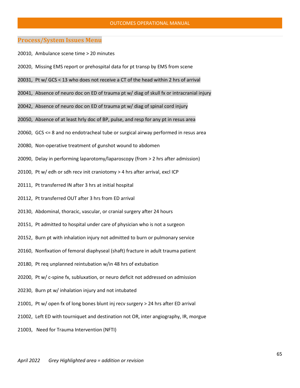#### OUTCOMES OPERATIONAL MANUAL

## **Process/System Issues Menu**

- 20010, Ambulance scene time > 20 minutes
- 20020, Missing EMS report or prehospital data for pt transp by EMS from scene
- 20031, Pt w/ GCS < 13 who does not receive a CT of the head within 2 hrs of arrival
- 20041, Absence of neuro doc on ED of trauma pt w/ diag of skull fx or intracranial injury
- 20042, Absence of neuro doc on ED of trauma pt w/ diag of spinal cord injury
- 20050, Absence of at least hrly doc of BP, pulse, and resp for any pt in resus area
- 20060, GCS <= 8 and no endotracheal tube or surgical airway performed in resus area
- 20080, Non-operative treatment of gunshot wound to abdomen
- 20090, Delay in performing laparotomy/laparoscopy (from > 2 hrs after admission)
- 20100, Pt w/ edh or sdh recv init craniotomy > 4 hrs after arrival, excl ICP
- 20111, Pt transferred IN after 3 hrs at initial hospital
- 20112, Pt transferred OUT after 3 hrs from ED arrival
- 20130, Abdominal, thoracic, vascular, or cranial surgery after 24 hours
- 20151, Pt admitted to hospital under care of physician who is not a surgeon
- 20152, Burn pt with inhalation injury not admitted to burn or pulmonary service
- 20160, Nonfixation of femoral diaphyseal (shaft) fracture in adult trauma patient
- 20180, Pt req unplanned reintubation w/in 48 hrs of extubation
- 20200, Pt w/ c-spine fx, subluxation, or neuro deficit not addressed on admission
- 20230, Burn pt w/ inhalation injury and not intubated
- 21001, Pt w/ open fx of long bones blunt inj recv surgery > 24 hrs after ED arrival
- 21002, Left ED with tourniquet and destination not OR, inter angiography, IR, morgue
- 21003, Need for Trauma Intervention (NFTI)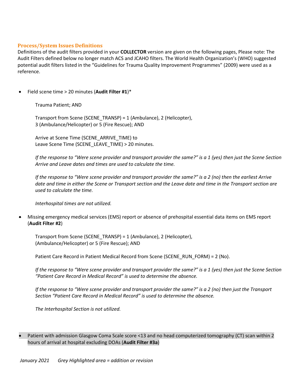## **Process/System Issues Definitions**

Definitions of the audit filters provided in your **COLLECTOR** version are given on the following pages, Please note: The Audit Filters defined below no longer match ACS and JCAHO filters. The World Health Organization's (WHO) suggested potential audit filters listed in the "Guidelines for Trauma Quality Improvement Programmes" (2009) were used as a reference.

• Field scene time > 20 minutes (**Audit Filter #1**)\*

Trauma Patient; AND

Transport from Scene (SCENE\_TRANSP) = 1 (Ambulance), 2 (Helicopter), 3 (Ambulance/Helicopter) or 5 (Fire Rescue); AND

Arrive at Scene Time (SCENE\_ARRIVE\_TIME) to Leave Scene Time (SCENE\_LEAVE\_TIME) > 20 minutes.

*If the response to "Were scene provider and transport provider the same?" is a 1 (yes) then just the Scene Section Arrive and Leave dates and times are used to calculate the time.*

*If the response to "Were scene provider and transport provider the same?" is a 2 (no) then the earliest Arrive date and time in either the Scene or Transport section and the Leave date and time in the Transport section are used to calculate the time.*

*Interhospital times are not utilized.*

• Missing emergency medical services (EMS) report or absence of prehospital essential data items on EMS report (**Audit Filter #2**)

Transport from Scene (SCENE\_TRANSP) = 1 (Ambulance), 2 (Helicopter), (Ambulance/Helicopter) or 5 (Fire Rescue); AND

Patient Care Record in Patient Medical Record from Scene (SCENE\_RUN\_FORM) = 2 (No).

*If the response to "Were scene provider and transport provider the same?" is a 1 (yes) then just the Scene Section "Patient Care Record in Medical Record" is used to determine the absence.*

*If the response to "Were scene provider and transport provider the same?" is a 2 (no) then just the Transport Section "Patient Care Record in Medical Record" is used to determine the absence.*

*The Interhospital Section is not utilized.*

## • Patient with admission Glasgow Coma Scale score <13 and no head computerized tomography (CT) scan within 2 hours of arrival at hospital excluding DOAs (**Audit Filter #3a**)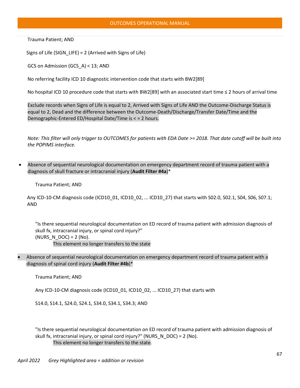#### OUTCOMES OPERATIONAL MANUAL

Trauma Patient; AND

Signs of Life (SIGN\_LIFE) = 2 (Arrived with Signs of Life)

GCS on Admission (GCS\_A) < 13; AND

No referring facility ICD 10 diagnostic intervention code that starts with BW2[89]

No hospital ICD 10 procedure code that starts with BW2[89] with an associated start time ≤ 2 hours of arrival time

Exclude records when Signs of Life is equal to 2, Arrived with Signs of Life AND the Outcome-Discharge Status is equal to 2, Dead and the difference between the Outcome-Death/Discharge/Transfer Date/Time and the Demographic-Entered ED/Hospital Date/Time is < = 2 hours.

*Note: This filter will only trigger to OUTCOMES for patients with EDA Date >= 2018. That date cutoff will be built into the POPIMS interface.*

• Absence of sequential neurological documentation on emergency department record of trauma patient with a diagnosis of skull fracture or intracranial injury (**Audit Filter #4a**)\*

Trauma Patient; AND

 Any ICD-10-CM diagnosis code (ICD10\_01, ICD10\_02, ... ICD10\_27) that starts with S02.0, S02.1, S04, S06, S07.1; AND

"Is there sequential neurological documentation on ED record of trauma patient with admission diagnosis of skull fx, intracranial injury, or spinal cord injury?"  $(NURS_N_DDC) = 2 (No).$ This element no longer transfers to the state

• Absence of sequential neurological documentation on emergency department record of trauma patient with a diagnosis of spinal cord injury (**Audit Filter #4b**)\*

Trauma Patient; AND

Any ICD-10-CM diagnosis code (ICD10\_01, ICD10\_02, ... ICD10\_27) that starts with

S14.0, S14.1, S24.0, S24.1, S34.0, S34.1, S34.3; AND

"Is there sequential neurological documentation on ED record of trauma patient with admission diagnosis of skull fx, intracranial injury, or spinal cord injury?" (NURS\_N\_DOC) = 2 (No).

This element no longer transfers to the state.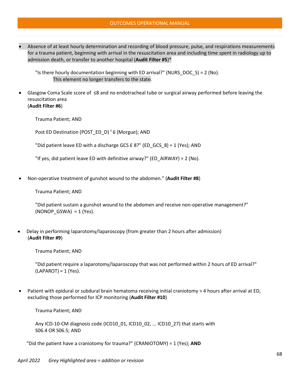• Absence of at least hourly determination and recording of blood pressure, pulse, and respirations measurements for a trauma patient, beginning with arrival in the resuscitation area and including time spent in radiology up to admission death, or transfer to another hospital (**Audit Filter #5**)\*

"Is there hourly documentation beginning with ED arrival?" (NURS\_DOC\_S) = 2 (No). This element no longer transfers to the state.

• Glasgow Coma Scale score of ≤8 and no endotracheal tube or surgical airway performed before leaving the resuscitation area (**Audit Filter #6**)

Trauma Patient; AND

Post ED Destination (POST\_ED\_D)  $16$  (Morgue); AND

"Did patient leave ED with a discharge GCS £ 8?" (ED\_GCS\_8) = 1 (Yes); AND

"If yes, did patient leave ED with definitive airway?" (ED\_AIRWAY) = 2 (No).

• Non-operative treatment of gunshot wound to the abdomen." (**Audit Filter #8**)

Trauma Patient; AND

"Did patient sustain a gunshot wound to the abdomen and receive non-operative management?"  $(NONOP_GSWA) = 1 (Yes).$ 

• Delay in performing laparotomy/laparoscopy (from greater than 2 hours after admission) (**Audit Filter #9**)

Trauma Patient; AND

"Did patient require a laparotomy/laparoscopy that was not performed within 2 hours of ED arrival?"  $(LAPAROT) = 1$  (Yes).

• Patient with epidural or subdural brain hematoma receiving initial craniotomy > 4 hours after arrival at ED, excluding those performed for ICP monitoring (**Audit Filter #10**)

Trauma Patient; AND

Any ICD-10-CM diagnosis code (ICD10\_01, ICD10\_02, ... ICD10\_27) that starts with S06.4 OR S06.5; AND

"Did the patient have a craniotomy for trauma?" (CRANIOTOMY) = 1 (Yes); **AND**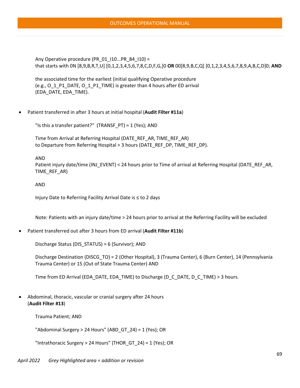Any Operative procedure (PR\_01\_I10...PR\_84\_I10) = that starts with 0N [8,9,B,R,T,U] [0,1,2,3,4,5,6,7,8,C,D,F,G,]0 **OR** 00[8,9,B,C,Q] [0,1,2,3,4,5,6,7,8,9,A,B,C,D]0; **AND**

the associated time for the earliest (initial qualifying Operative procedure (e.g., O\_1\_P1\_DATE, O\_1\_P1\_TIME) is greater than 4 hours after ED arrival (EDA\_DATE, EDA\_TIME).

• Patient transferred in after 3 hours at initial hospital (**Audit Filter #11a**)

"Is this a transfer patient?" (TRANSF\_PT) = 1 (Yes); AND

Time from Arrival at Referring Hospital (DATE\_REF\_AR, TIME\_REF\_AR) to Departure from Referring Hospital > 3 hours (DATE\_REF\_DP, TIME\_REF\_DP).

AND

Patient injury date/time (INJ\_EVENT) < 24 hours prior to Time of arrival at Referring Hospital (DATE\_REF\_AR, TIME\_REF\_AR)

AND

Injury Date to Referring Facility Arrival Date is ≤ to 2 days

Note: Patients with an injury date/time > 24 hours prior to arrival at the Referring Facility will be excluded

• Patient transferred out after 3 hours from ED arrival (**Audit Filter #11b**)

Discharge Status (DIS\_STATUS) = 6 (Survivor); AND

Discharge Destination (DISCG\_TO) = 2 (Other Hospital), 3 (Trauma Center), 6 (Burn Center), 14 (Pennsylvania Trauma Center) or 15 (Out of State Trauma Center) AND

Time from ED Arrival (EDA\_DATE, EDA\_TIME) to Discharge (D\_C\_DATE, D\_C\_TIME) > 3 hours.

• Abdominal, thoracic, vascular or cranial surgery after 24 hours (**Audit Filter #13**)

Trauma Patient; AND

"Abdominal Surgery > 24 Hours" (ABD GT 24) = 1 (Yes); OR

"Intrathoracic Surgery > 24 Hours" (THOR\_GT\_24) = 1 (Yes); OR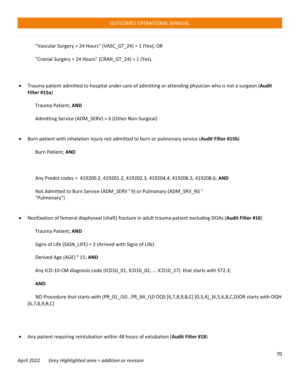"Vascular Surgery > 24 Hours" (VASC\_GT\_24) = 1 (Yes); OR

"Cranial Surgery > 24 Hours" (CRAN\_GT\_24) = 1 (Yes).

• Trauma patient admitted to hospital under care of admitting or attending physician who is not a surgeon (**Audit Filter #15a**)

Trauma Patient; **AND**

Admitting Service (ADM\_SERV) = 6 (Other Non-Surgical)

• Burn patient with inhalation injury not admitted to burn or pulmonary service (**Audit Filter #15b**)

```
Burn Patient; AND
```
Any Predot codes = 419200.2, 419201.2, 419202.3, 419204.4, 419206.5, 419208.6; **AND**

```
Not Admitted to Burn Service (ADM_SERV<sup>1</sup>9) or Pulmonary (ADM_SRV_NS<sup>1</sup>
"Pulmonary")
```
• Nonfixation of femoral diaphyseal (shaft) fracture in adult trauma patient excluding DOAs (**Audit Filter #16**)

#### Trauma Patient; **AND**

Signs of Life (SIGN\_LIFE) = 2 (Arrived with Signs of Life)

Derived Age (AGE) ³ 15; **AND**

Any ICD-10-CM diagnosis code (ICD10\_01, ICD10\_02, ... ICD10\_27) that starts with S72.3;

#### **AND**

 NO Procedure that starts with (PR\_01\_I10...PR\_84\_I10 OQS [6,7,8,9,B,C] [0,3,4]\_[4,5,6,B,C,D]OR starts with OQH [6,7,8,9,B,C]

• Any patient requiring reintubation within 48 hours of extubation (**Audit Filter #18**)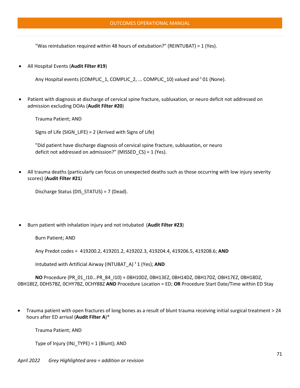"Was reintubation required within 48 hours of extubation?" (REINTUBAT) = 1 (Yes).

• All Hospital Events (**Audit Filter #19**)

Any Hospital events (COMPLIC 1, COMPLIC 2, ... COMPLIC 10) valued and <sup>1</sup> 01 (None).

• Patient with diagnosis at discharge of cervical spine fracture, subluxation, or neuro deficit not addressed on admission excluding DOAs (**Audit Filter #20**)

Trauma Patient; AND

Signs of Life (SIGN\_LIFE) = 2 (Arrived with Signs of Life)

"Did patient have discharge diagnosis of cervical spine fracture, subluxation, or neuro deficit not addressed on admission?" (MISSED\_CS) = 1 (Yes).

• All trauma deaths (particularly can focus on unexpected deaths such as those occurring with low injury severity scores) (**Audit Filter #21**)

Discharge Status (DIS\_STATUS) = 7 (Dead).

• Burn patient with inhalation injury and not intubated (**Audit Filter #23**)

Burn Patient; AND

Any Predot codes = 419200.2, 419201.2, 419202.3, 419204.4, 419206.5, 419208.6; **AND**

Intubated with Artificial Airway (INTUBAT\_A)<sup>1</sup>1 (Yes); **AND** 

**NO** Procedure (PR\_01\_I10...PR\_84\_I10) = 0BH10DZ, 0BH13EZ, 0BH14DZ, 0BH17DZ, OBH17EZ, 0BH18DZ, 0BH18EZ, 0DH57BZ, 0CHY7BZ, 0CHY8BZ **AND** Procedure Location = ED; **OR** Procedure Start Date/Time within ED Stay

• Trauma patient with open fractures of long bones as a result of blunt trauma receiving initial surgical treatment > 24 hours after ED arrival (**Audit Filter A**)\*

Trauma Patient; AND

Type of Injury (INJ\_TYPE) = 1 (Blunt); AND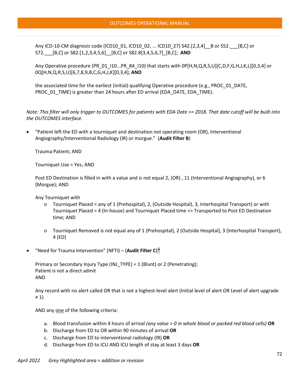Any ICD-10-CM diagnosis code (ICD10\_01, ICD10\_02, ... ICD10\_27) S42.[2,3,4]\_\_B or S52.\_\_\_[B,C] or S72.\_\_\_[B,C] or S82.[1,2,3,4,5,6]\_\_[B,C] or S82.8[3,4,5,6,7]\_[B,C]; **AND**

Any Operative procedure (PR\_01\_I10...PR\_84\_I10) that starts with 0P[H,N,Q,R,S,U][C,D,F,G,H,J,K,L][0,3,4] or 0Q[H,N,Q,R,S,U][6,7,8,9,B,C,G,H,J,K][0,3,4]; **AND**

the associated time for the earliest (initial) qualifying Operative procedure (e.g., PROC\_01\_DATE, PROC\_01\_TIME) is greater than 24 hours after ED arrival (EDA\_DATE, EDA\_TIME).

*Note: This filter will only trigger to OUTCOMES for patients with EDA Date >= 2018. That date cutoff will be built into the OUTCOMES interface.*

• "Patient left the ED with a tourniquet and destination not operating room (OR), Interventional Angiography/Interventional Radiology (IR) or morgue." (**Audit Filter B**)

Trauma Patient; AND

Tourniquet Use = Yes; AND

Post ED Destination is filled in with a value and is not equal 2, (OR) , 11 (Interventional Angiography), or 6 (Morgue); AND

Any Tourniquet with

- o Tourniquet Placed = any of 1 (Prehospital), 2, (Outside Hospital), 3, Interhospital Transport) or with Tourniquet Placed = 4 (In-house) and Tourniquet Placed time <= Transported to Post ED Destination time; AND
- o Tourniquet Removed is not equal any of 1 (Prehospital), 2 (Outside Hospital), 3 (Interhospital Transport), 4 (ED)
- "Need for Trauma Intervention" (NFTI) (**Audit Filter C**)\*

Primary or Secondary Injury Type (INJ\_TYPE) = 1 (Blunt) or 2 (Penetrating); Patient is not a direct admit AND

Any record with no alert called OR that is not a highest-level alert (Initial level of alert OR Level of alert upgrade ≠ 1)

AND any one of the following criteria:

- a. Blood transfusion within 4 hours of arrival *(any value > 0 in whole blood or packed red blood cells)* **OR**
- b. Discharge from ED to OR within 90 minutes of arrival **OR**
- c. Discharge from ED to interventional radiology (IR) **OR**
- d. Discharge from ED to ICU AND ICU length of stay at least 3 days **OR**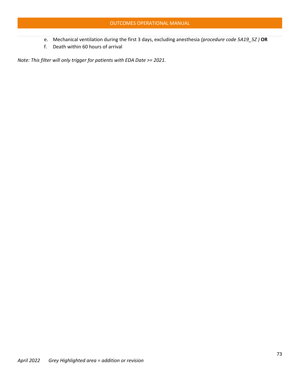- e. Mechanical ventilation during the first 3 days, excluding anesthesia *(procedure code 5A19\_5Z )* **OR**
- f. Death within 60 hours of arrival

*Note: This filter will only trigger for patients with EDA Date >= 2021.*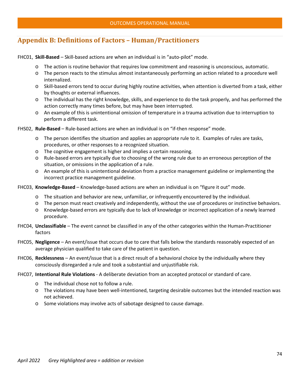# **Appendix B: Definitions of Factors – Human/Practitioners**

FHC01, **Skill-Based** – Skill-based actions are when an individual is in "auto-pilot" mode.

- o The action is routine behavior that requires low commitment and reasoning is unconscious, automatic.
- o The person reacts to the stimulus almost instantaneously performing an action related to a procedure well internalized.
- o Skill-based errors tend to occur during highly routine activities, when attention is diverted from a task, either by thoughts or external influences.
- o The individual has the right knowledge, skills, and experience to do the task properly, and has performed the action correctly many times before, but may have been interrupted.
- o An example of this is unintentional omission of temperature in a trauma activation due to interruption to perform a different task.

FHS02, **Rule-Based** – Rule-based actions are when an individual is on "if-then response" mode.

- o The person identifies the situation and applies an appropriate rule to it. Examples of rules are tasks, procedures, or other responses to a recognized situation.
- o The cognitive engagement is higher and implies a certain reasoning.
- o Rule-based errors are typically due to choosing of the wrong rule due to an erroneous perception of the situation, or omissions in the application of a rule.
- o An example of this is unintentional deviation from a practice management guideline or implementing the incorrect practice management guideline.

FHC03, **Knowledge-Based** – Knowledge-based actions are when an individual is on "figure it out" mode.

- o The situation and behavior are new, unfamiliar, or infrequently encountered by the individual.
- o The person must react creatively and independently, without the use of procedures or instinctive behaviors.
- o Knowledge-based errors are typically due to lack of knowledge or incorrect application of a newly learned procedure.
- FHC04, **Unclassifiable** The event cannot be classified in any of the other categories within the Human-Practitioner factors
- FHC05, **Negligence** An event/issue that occurs due to care that falls below the standards reasonably expected of an average physician qualified to take care of the patient in question.
- FHC06, **Recklessness** An event/issue that is a direct result of a behavioral choice by the individually where they consciously disregarded a rule and took a substantial and unjustifiable risk.
- FHC07, **Intentional Rule Violations** A deliberate deviation from an accepted protocol or standard of care.
	- o The individual chose not to follow a rule.
	- o The violations may have been well-intentioned, targeting desirable outcomes but the intended reaction was not achieved.
	- o Some violations may involve acts of sabotage designed to cause damage.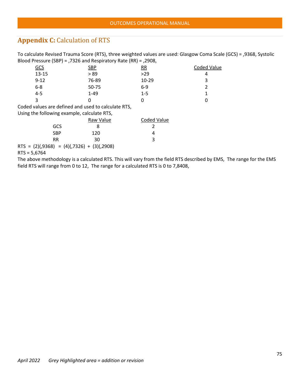## **Appendix C:** Calculation of RTS

To calculate Revised Trauma Score (RTS), three weighted values are used: Glasgow Coma Scale (GCS) = ,9368, Systolic Blood Pressure (SBP) = ,7326 and Respiratory Rate (RR) = ,2908,

| <u>GCS</u> | <b>SBP</b> | $\overline{RR}$ | Coded Value |
|------------|------------|-----------------|-------------|
| $13 - 15$  | > 89       | >29             | 4           |
| $9 - 12$   | 76-89      | $10 - 29$       | 3           |
| $6 - 8$    | 50-75      | $6-9$           |             |
| $4 - 5$    | $1 - 49$   | $1 - 5$         |             |
| 3          |            | O               |             |
|            |            |                 |             |

Coded values are defined and used to calculate RTS,

Using the following example, calculate RTS,

|                                                  | Raw Value | <b>Coded Value</b> |
|--------------------------------------------------|-----------|--------------------|
| GCS                                              |           |                    |
| SBP                                              | 120       | 4                  |
| <b>RR</b>                                        | 30        |                    |
| RTS = $(2)(,9368)$ = $(4)(,7326)$ + $(3)(,2908)$ |           |                    |

RTS = 5,6764

The above methodology is a calculated RTS. This will vary from the field RTS described by EMS, The range for the EMS field RTS will range from 0 to 12, The range for a calculated RTS is 0 to 7,8408,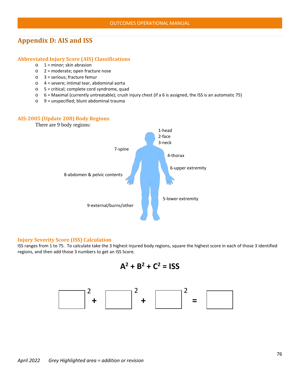### **Appendix D: AIS and ISS**

### **Abbreviated Injury Score (AIS) Classifications**

- $\circ$  1 = minor; skin abrasion
- o 2 = moderate; open fracture nose
- o 3 = serious; fracture femur
- o 4 = severe; intimal tear, abdominal aorta
- o 5 = critical; complete cord syndrome, quad
- o 6 = Maximal (currently untreatable); crush injury chest (if a 6 is assigned, the ISS is an automatic 75)
- $\circ$  9 = unspecified; blunt abdominal trauma

### **AIS-2005 (Update 208) Body Regions**

There are 9 body regions:



#### **Injury Severity Score (ISS) Calculation**

ISS ranges from 1 to 75. To calculate take the 3 highest injured body regions, square the highest score in each of those 3 identified regions, and then add those 3 numbers to get an ISS Score.

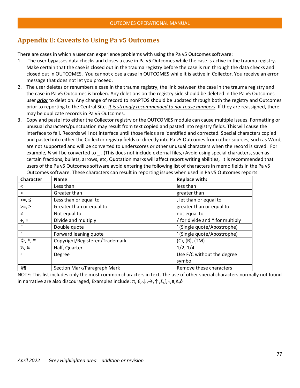### **Appendix E: Caveats to Using Pa v5 Outcomes**

There are cases in which a user can experience problems with using the Pa v5 Outcomes software:

- 1. The user bypasses data checks and closes a case in Pa v5 Outcomes while the case is active in the trauma registry. Make certain that the case is closed out in the trauma registry before the case is run through the data checks and closed out in OUTCOMES. You cannot close a case in OUTCOMES while it is active in Collector. You receive an error message that does not let you proceed.
- 2. The user deletes or renumbers a case in the trauma registry, the link between the case in the trauma registry and the case in Pa v5 Outcomes is broken. Any deletions on the registry side should be deleted in the Pa v5 Outcomes user *prior* to deletion. Any change of record to nonPTOS should be updated through both the registry and Outcomes prior to reporting to the Central Site. *It is strongly recommended to not reuse numbers*. If they are reassigned, there may be duplicate records in Pa v5 Outcomes.
- 3. Copy and paste into either the Collector registry or the OUTCOMES module can cause multiple issues. Formatting or unusual characters/punctuation may result from text copied and pasted into registry fields. This will cause the interface to fail. Records will not interface until those fields are identified and corrected. Special characters copied and pasted into either the Collector registry fields or directly into Pa v5 Outcomes from other sources, such as Word, are not supported and will be converted to underscores or other unusual characters when the record is saved. For example, ¼ will be converted to \_ . (This does not include external files,) Avoid using special characters, such as certain fractions, bullets, arrows, etc, Quotation marks will affect report writing abilities, It is recommended that users of the Pa v5 Outcomes software avoid entering the following list of characters in memo fields in the Pa v5 Outcomes software. These characters can result in reporting issues when used in Pa v5 Outcomes reports:

| Character                            | <b>Name</b>                    | <b>Replace with:</b>            |
|--------------------------------------|--------------------------------|---------------------------------|
| $\,<\,$                              | Less than                      | less than                       |
| $\geq$                               | Greater than                   | greater than                    |
| $<=,$                                | Less than or equal to          | , let than or equal to          |
| $>=$ , $\geq$                        | Greater than or equal to       | greater than or equal to        |
| $\neq$                               | Not equal to                   | not equal to                    |
| $\div$ , $\times$                    | Divide and multiply            | / for divide and * for multiply |
| $\mathbf{u}$                         | Double quote                   | (Single quote/Apostrophe)       |
| $\cdot$                              | Forward leaning quote          | (Single quote/Apostrophe)       |
| $\mathbb{O}, \mathbb{P}, \mathbb{M}$ | Copyright/Registered/Trademark | $(C)$ , $(R)$ , $(TM)$          |
| $\frac{1}{2}$ , $\frac{1}{4}$        | Half, Quarter                  | 1/2, 1/4                        |
| $\Omega$                             | Degree                         | Use F/C without the degree      |
|                                      |                                | symbol                          |
| §¶                                   | Section Mark/Paragraph Mark    | Remove these characters         |

NOTE: This list includes only the most common characters in text, The use of other special characters normally not found in narrative are also discouraged, Examples include: π, €,↓,→,↑,Σ,∫,≈,≡,Δ,∂